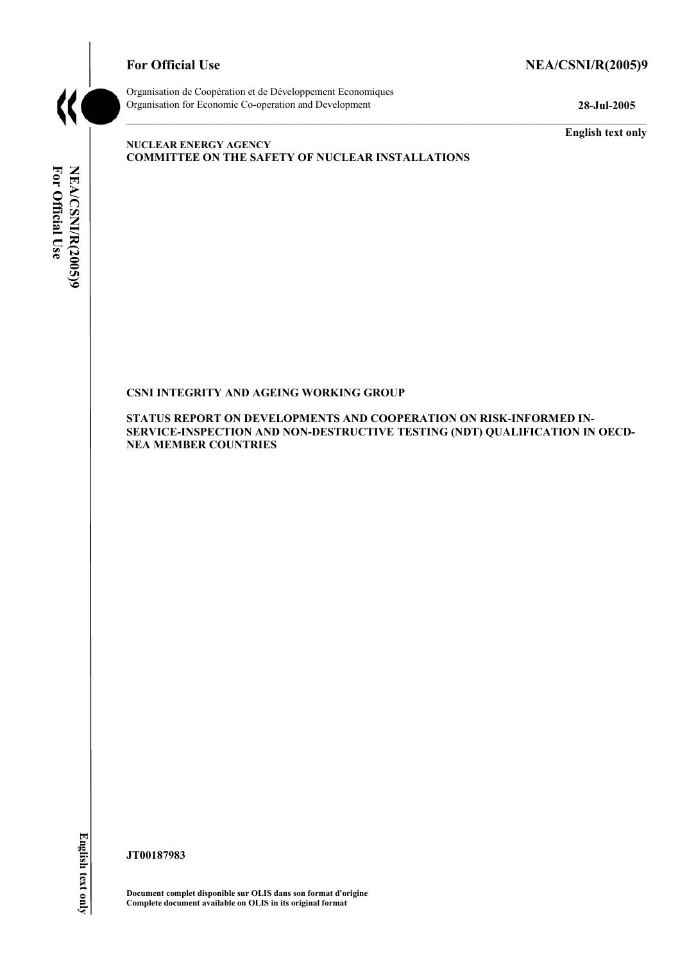# **For Official Use NEA/CSNI/R(2005)9**



Organisation de Coopération et de Développement Economiques Organisation for Economic Co-operation and Development **28-Jul-2005** 

**English text only** 

## **NUCLEAR ENERGY AGENCY COMMITTEE ON THE SAFETY OF NUCLEAR INSTALLATIONS**

For Official Use NEA/CSNI/R(2005)9 **For Official Use NEA/CSNI/R(2005)9 English text only** 

### **CSNI INTEGRITY AND AGEING WORKING GROUP**

**STATUS REPORT ON DEVELOPMENTS AND COOPERATION ON RISK-INFORMED IN-SERVICE-INSPECTION AND NON-DESTRUCTIVE TESTING (NDT) QUALIFICATION IN OECD-NEA MEMBER COUNTRIES** 

English text only

**JT00187983** 

**Document complet disponible sur OLIS dans son format d'origine Complete document available on OLIS in its original format**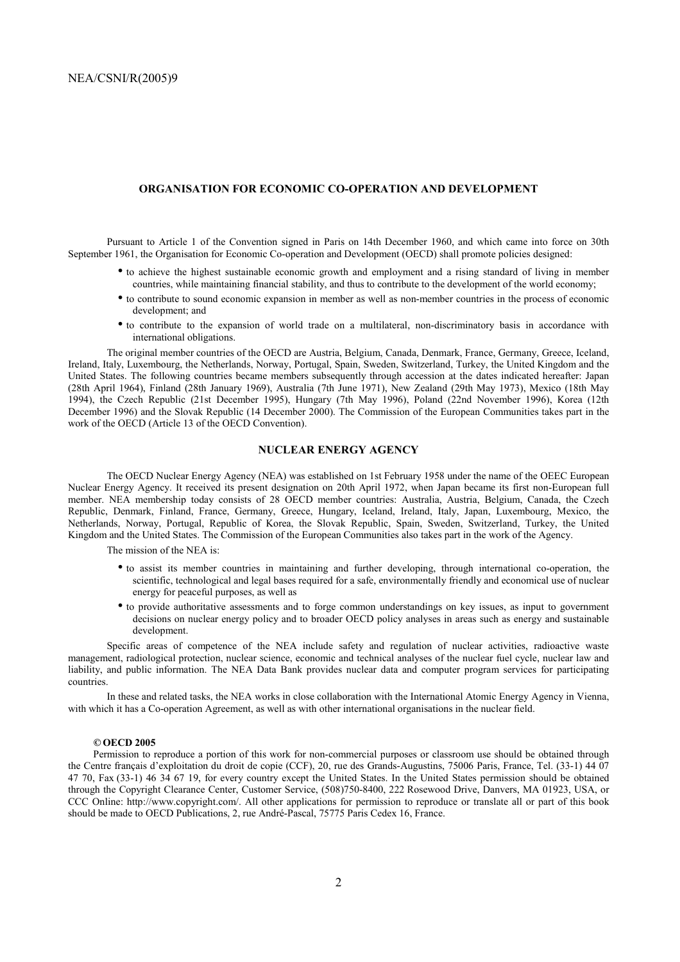#### **ORGANISATION FOR ECONOMIC CO-OPERATION AND DEVELOPMENT**

 Pursuant to Article 1 of the Convention signed in Paris on 14th December 1960, and which came into force on 30th September 1961, the Organisation for Economic Co-operation and Development (OECD) shall promote policies designed:

- to achieve the highest sustainable economic growth and employment and a rising standard of living in member countries, while maintaining financial stability, and thus to contribute to the development of the world economy;
- to contribute to sound economic expansion in member as well as non-member countries in the process of economic development; and
- to contribute to the expansion of world trade on a multilateral, non-discriminatory basis in accordance with international obligations.

 The original member countries of the OECD are Austria, Belgium, Canada, Denmark, France, Germany, Greece, Iceland, Ireland, Italy, Luxembourg, the Netherlands, Norway, Portugal, Spain, Sweden, Switzerland, Turkey, the United Kingdom and the United States. The following countries became members subsequently through accession at the dates indicated hereafter: Japan (28th April 1964), Finland (28th January 1969), Australia (7th June 1971), New Zealand (29th May 1973), Mexico (18th May 1994), the Czech Republic (21st December 1995), Hungary (7th May 1996), Poland (22nd November 1996), Korea (12th December 1996) and the Slovak Republic (14 December 2000). The Commission of the European Communities takes part in the work of the OECD (Article 13 of the OECD Convention).

#### **NUCLEAR ENERGY AGENCY**

 The OECD Nuclear Energy Agency (NEA) was established on 1st February 1958 under the name of the OEEC European Nuclear Energy Agency. It received its present designation on 20th April 1972, when Japan became its first non-European full member. NEA membership today consists of 28 OECD member countries: Australia, Austria, Belgium, Canada, the Czech Republic, Denmark, Finland, France, Germany, Greece, Hungary, Iceland, Ireland, Italy, Japan, Luxembourg, Mexico, the Netherlands, Norway, Portugal, Republic of Korea, the Slovak Republic, Spain, Sweden, Switzerland, Turkey, the United Kingdom and the United States. The Commission of the European Communities also takes part in the work of the Agency.

The mission of the NEA is:

- to assist its member countries in maintaining and further developing, through international co-operation, the scientific, technological and legal bases required for a safe, environmentally friendly and economical use of nuclear energy for peaceful purposes, as well as
- to provide authoritative assessments and to forge common understandings on key issues, as input to government decisions on nuclear energy policy and to broader OECD policy analyses in areas such as energy and sustainable development.

 Specific areas of competence of the NEA include safety and regulation of nuclear activities, radioactive waste management, radiological protection, nuclear science, economic and technical analyses of the nuclear fuel cycle, nuclear law and liability, and public information. The NEA Data Bank provides nuclear data and computer program services for participating countries.

In these and related tasks, the NEA works in close collaboration with the International Atomic Energy Agency in Vienna with which it has a Co-operation Agreement, as well as with other international organisations in the nuclear field.

#### *©* **OECD 2005**

Permission to reproduce a portion of this work for non-commercial purposes or classroom use should be obtained through the Centre français d'exploitation du droit de copie (CCF), 20, rue des Grands-Augustins, 75006 Paris, France, Tel. (33-1) 44 07 47 70, Fax (33-1) 46 34 67 19, for every country except the United States. In the United States permission should be obtained through the Copyright Clearance Center, Customer Service, (508)750-8400, 222 Rosewood Drive, Danvers, MA 01923, USA, or CCC Online: http://www.copyright.com/. All other applications for permission to reproduce or translate all or part of this book should be made to OECD Publications, 2, rue André-Pascal, 75775 Paris Cedex 16, France.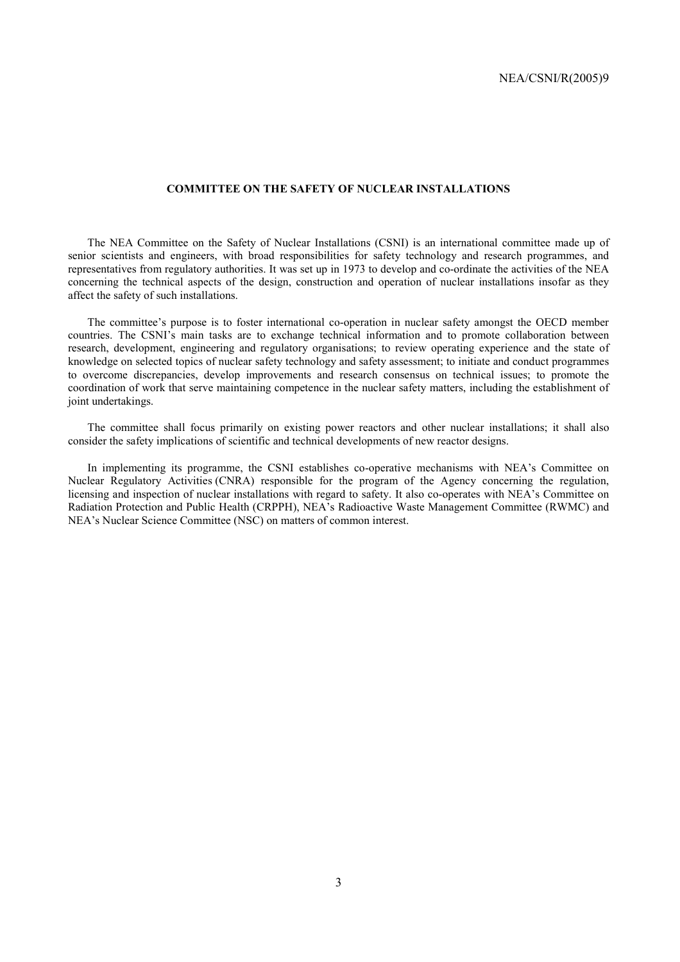#### **COMMITTEE ON THE SAFETY OF NUCLEAR INSTALLATIONS**

 The NEA Committee on the Safety of Nuclear Installations (CSNI) is an international committee made up of senior scientists and engineers, with broad responsibilities for safety technology and research programmes, and representatives from regulatory authorities. It was set up in 1973 to develop and co-ordinate the activities of the NEA concerning the technical aspects of the design, construction and operation of nuclear installations insofar as they affect the safety of such installations.

 The committee's purpose is to foster international co-operation in nuclear safety amongst the OECD member countries. The CSNI's main tasks are to exchange technical information and to promote collaboration between research, development, engineering and regulatory organisations; to review operating experience and the state of knowledge on selected topics of nuclear safety technology and safety assessment; to initiate and conduct programmes to overcome discrepancies, develop improvements and research consensus on technical issues; to promote the coordination of work that serve maintaining competence in the nuclear safety matters, including the establishment of joint undertakings.

 The committee shall focus primarily on existing power reactors and other nuclear installations; it shall also consider the safety implications of scientific and technical developments of new reactor designs.

 In implementing its programme, the CSNI establishes co-operative mechanisms with NEA's Committee on Nuclear Regulatory Activities (CNRA) responsible for the program of the Agency concerning the regulation, licensing and inspection of nuclear installations with regard to safety. It also co-operates with NEA's Committee on Radiation Protection and Public Health (CRPPH), NEA's Radioactive Waste Management Committee (RWMC) and NEA's Nuclear Science Committee (NSC) on matters of common interest.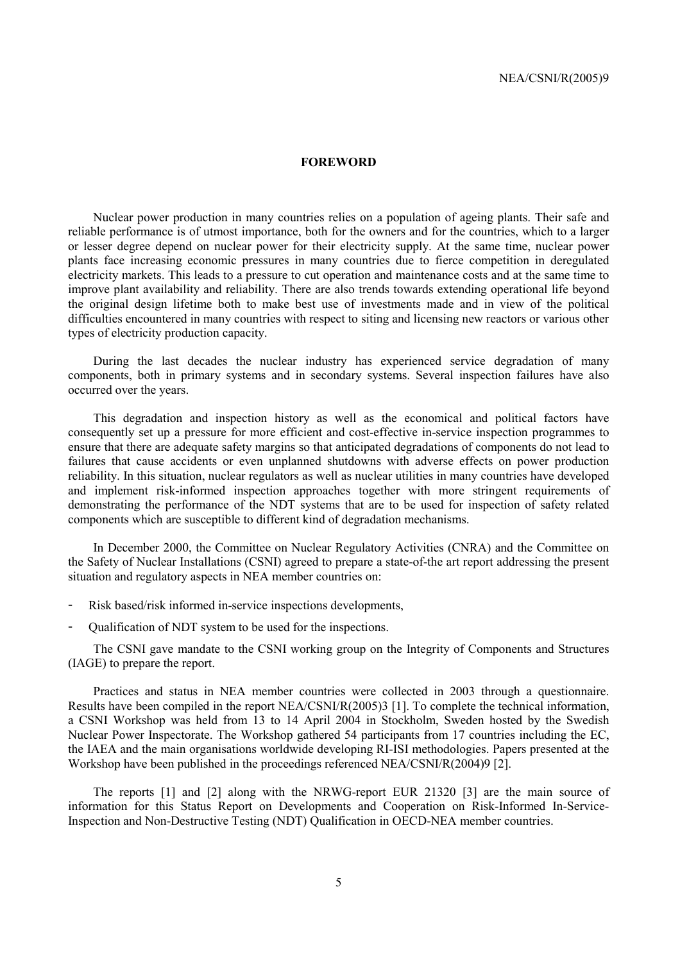### **FOREWORD**

Nuclear power production in many countries relies on a population of ageing plants. Their safe and reliable performance is of utmost importance, both for the owners and for the countries, which to a larger or lesser degree depend on nuclear power for their electricity supply. At the same time, nuclear power plants face increasing economic pressures in many countries due to fierce competition in deregulated electricity markets. This leads to a pressure to cut operation and maintenance costs and at the same time to improve plant availability and reliability. There are also trends towards extending operational life beyond the original design lifetime both to make best use of investments made and in view of the political difficulties encountered in many countries with respect to siting and licensing new reactors or various other types of electricity production capacity.

During the last decades the nuclear industry has experienced service degradation of many components, both in primary systems and in secondary systems. Several inspection failures have also occurred over the years.

This degradation and inspection history as well as the economical and political factors have consequently set up a pressure for more efficient and cost-effective in-service inspection programmes to ensure that there are adequate safety margins so that anticipated degradations of components do not lead to failures that cause accidents or even unplanned shutdowns with adverse effects on power production reliability. In this situation, nuclear regulators as well as nuclear utilities in many countries have developed and implement risk-informed inspection approaches together with more stringent requirements of demonstrating the performance of the NDT systems that are to be used for inspection of safety related components which are susceptible to different kind of degradation mechanisms.

In December 2000, the Committee on Nuclear Regulatory Activities (CNRA) and the Committee on the Safety of Nuclear Installations (CSNI) agreed to prepare a state-of-the art report addressing the present situation and regulatory aspects in NEA member countries on:

- Risk based/risk informed in-service inspections developments,
- Qualification of NDT system to be used for the inspections.

The CSNI gave mandate to the CSNI working group on the Integrity of Components and Structures (IAGE) to prepare the report.

Practices and status in NEA member countries were collected in 2003 through a questionnaire. Results have been compiled in the report NEA/CSNI/R(2005)3 [1]. To complete the technical information, a CSNI Workshop was held from 13 to 14 April 2004 in Stockholm, Sweden hosted by the Swedish Nuclear Power Inspectorate. The Workshop gathered 54 participants from 17 countries including the EC, the IAEA and the main organisations worldwide developing RI-ISI methodologies. Papers presented at the Workshop have been published in the proceedings referenced NEA/CSNI/R(2004)9 [2].

The reports [1] and [2] along with the NRWG-report EUR 21320 [3] are the main source of information for this Status Report on Developments and Cooperation on Risk-Informed In-Service-Inspection and Non-Destructive Testing (NDT) Qualification in OECD-NEA member countries.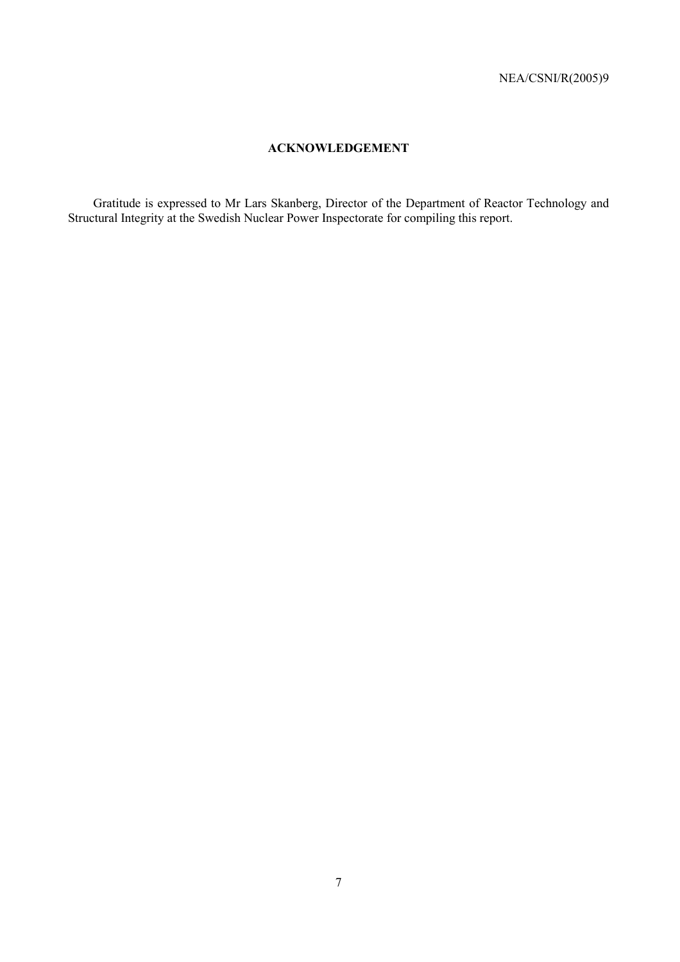### **ACKNOWLEDGEMENT**

Gratitude is expressed to Mr Lars Skanberg, Director of the Department of Reactor Technology and Structural Integrity at the Swedish Nuclear Power Inspectorate for compiling this report.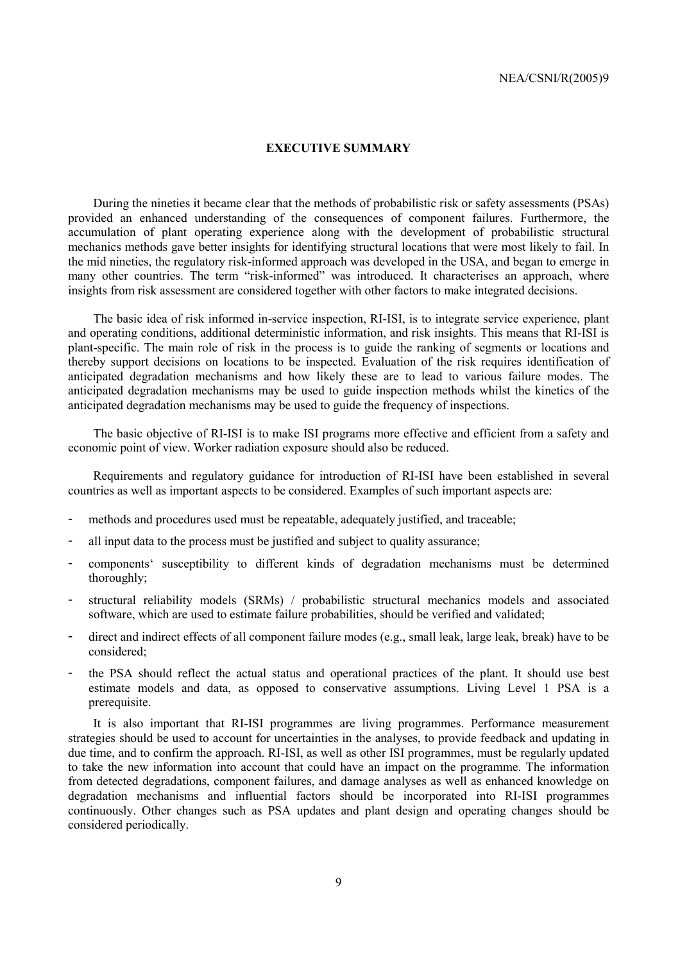### **EXECUTIVE SUMMARY**

During the nineties it became clear that the methods of probabilistic risk or safety assessments (PSAs) provided an enhanced understanding of the consequences of component failures. Furthermore, the accumulation of plant operating experience along with the development of probabilistic structural mechanics methods gave better insights for identifying structural locations that were most likely to fail. In the mid nineties, the regulatory risk-informed approach was developed in the USA, and began to emerge in many other countries. The term "risk-informed" was introduced. It characterises an approach, where insights from risk assessment are considered together with other factors to make integrated decisions.

The basic idea of risk informed in-service inspection, RI-ISI, is to integrate service experience, plant and operating conditions, additional deterministic information, and risk insights. This means that RI-ISI is plant-specific. The main role of risk in the process is to guide the ranking of segments or locations and thereby support decisions on locations to be inspected. Evaluation of the risk requires identification of anticipated degradation mechanisms and how likely these are to lead to various failure modes. The anticipated degradation mechanisms may be used to guide inspection methods whilst the kinetics of the anticipated degradation mechanisms may be used to guide the frequency of inspections.

The basic objective of RI-ISI is to make ISI programs more effective and efficient from a safety and economic point of view. Worker radiation exposure should also be reduced.

Requirements and regulatory guidance for introduction of RI-ISI have been established in several countries as well as important aspects to be considered. Examples of such important aspects are:

- methods and procedures used must be repeatable, adequately justified, and traceable;
- all input data to the process must be justified and subject to quality assurance;
- components' susceptibility to different kinds of degradation mechanisms must be determined thoroughly;
- structural reliability models (SRMs) / probabilistic structural mechanics models and associated software, which are used to estimate failure probabilities, should be verified and validated;
- direct and indirect effects of all component failure modes (e.g., small leak, large leak, break) have to be considered;
- the PSA should reflect the actual status and operational practices of the plant. It should use best estimate models and data, as opposed to conservative assumptions. Living Level 1 PSA is a prerequisite.

It is also important that RI-ISI programmes are living programmes. Performance measurement strategies should be used to account for uncertainties in the analyses, to provide feedback and updating in due time, and to confirm the approach. RI-ISI, as well as other ISI programmes, must be regularly updated to take the new information into account that could have an impact on the programme. The information from detected degradations, component failures, and damage analyses as well as enhanced knowledge on degradation mechanisms and influential factors should be incorporated into RI-ISI programmes continuously. Other changes such as PSA updates and plant design and operating changes should be considered periodically.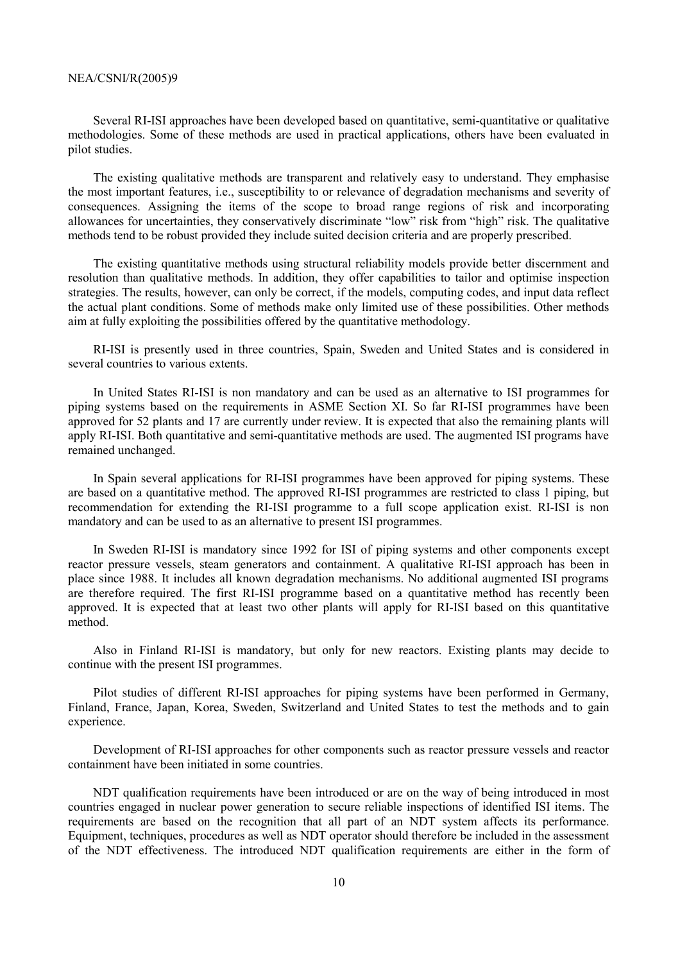Several RI-ISI approaches have been developed based on quantitative, semi-quantitative or qualitative methodologies. Some of these methods are used in practical applications, others have been evaluated in pilot studies.

The existing qualitative methods are transparent and relatively easy to understand. They emphasise the most important features, i.e., susceptibility to or relevance of degradation mechanisms and severity of consequences. Assigning the items of the scope to broad range regions of risk and incorporating allowances for uncertainties, they conservatively discriminate "low" risk from "high" risk. The qualitative methods tend to be robust provided they include suited decision criteria and are properly prescribed.

The existing quantitative methods using structural reliability models provide better discernment and resolution than qualitative methods. In addition, they offer capabilities to tailor and optimise inspection strategies. The results, however, can only be correct, if the models, computing codes, and input data reflect the actual plant conditions. Some of methods make only limited use of these possibilities. Other methods aim at fully exploiting the possibilities offered by the quantitative methodology.

RI-ISI is presently used in three countries, Spain, Sweden and United States and is considered in several countries to various extents.

In United States RI-ISI is non mandatory and can be used as an alternative to ISI programmes for piping systems based on the requirements in ASME Section XI. So far RI-ISI programmes have been approved for 52 plants and 17 are currently under review. It is expected that also the remaining plants will apply RI-ISI. Both quantitative and semi-quantitative methods are used. The augmented ISI programs have remained unchanged.

In Spain several applications for RI-ISI programmes have been approved for piping systems. These are based on a quantitative method. The approved RI-ISI programmes are restricted to class 1 piping, but recommendation for extending the RI-ISI programme to a full scope application exist. RI-ISI is non mandatory and can be used to as an alternative to present ISI programmes.

In Sweden RI-ISI is mandatory since 1992 for ISI of piping systems and other components except reactor pressure vessels, steam generators and containment. A qualitative RI-ISI approach has been in place since 1988. It includes all known degradation mechanisms. No additional augmented ISI programs are therefore required. The first RI-ISI programme based on a quantitative method has recently been approved. It is expected that at least two other plants will apply for RI-ISI based on this quantitative method.

Also in Finland RI-ISI is mandatory, but only for new reactors. Existing plants may decide to continue with the present ISI programmes.

Pilot studies of different RI-ISI approaches for piping systems have been performed in Germany, Finland, France, Japan, Korea, Sweden, Switzerland and United States to test the methods and to gain experience.

Development of RI-ISI approaches for other components such as reactor pressure vessels and reactor containment have been initiated in some countries.

NDT qualification requirements have been introduced or are on the way of being introduced in most countries engaged in nuclear power generation to secure reliable inspections of identified ISI items. The requirements are based on the recognition that all part of an NDT system affects its performance. Equipment, techniques, procedures as well as NDT operator should therefore be included in the assessment of the NDT effectiveness. The introduced NDT qualification requirements are either in the form of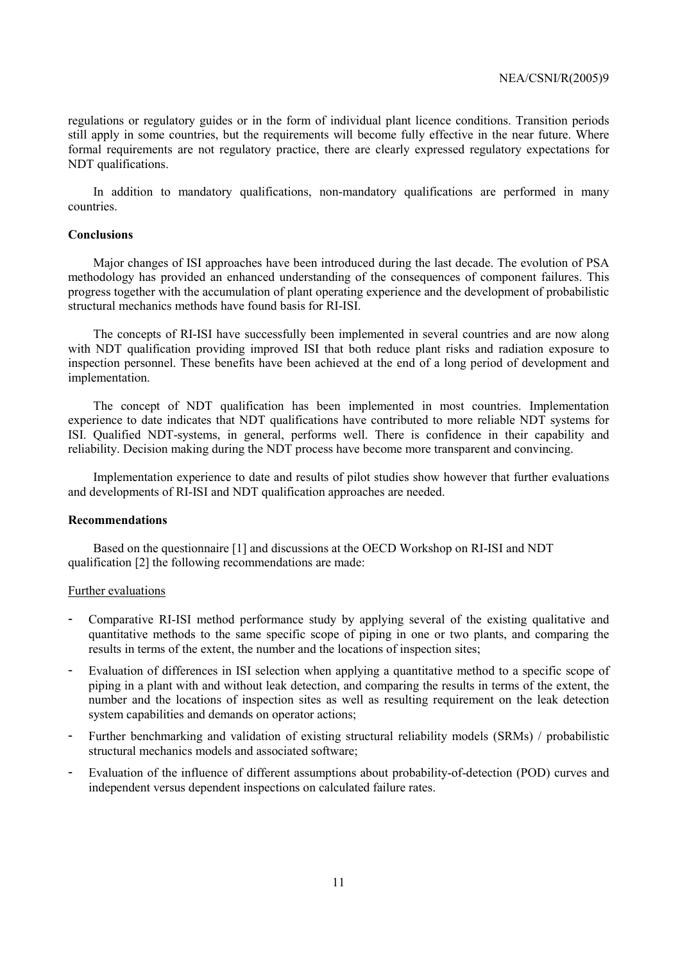regulations or regulatory guides or in the form of individual plant licence conditions. Transition periods still apply in some countries, but the requirements will become fully effective in the near future. Where formal requirements are not regulatory practice, there are clearly expressed regulatory expectations for NDT qualifications.

In addition to mandatory qualifications, non-mandatory qualifications are performed in many countries.

### **Conclusions**

Major changes of ISI approaches have been introduced during the last decade. The evolution of PSA methodology has provided an enhanced understanding of the consequences of component failures. This progress together with the accumulation of plant operating experience and the development of probabilistic structural mechanics methods have found basis for RI-ISI.

The concepts of RI-ISI have successfully been implemented in several countries and are now along with NDT qualification providing improved ISI that both reduce plant risks and radiation exposure to inspection personnel. These benefits have been achieved at the end of a long period of development and implementation.

The concept of NDT qualification has been implemented in most countries. Implementation experience to date indicates that NDT qualifications have contributed to more reliable NDT systems for ISI. Qualified NDT-systems, in general, performs well. There is confidence in their capability and reliability. Decision making during the NDT process have become more transparent and convincing.

Implementation experience to date and results of pilot studies show however that further evaluations and developments of RI-ISI and NDT qualification approaches are needed.

### **Recommendations**

Based on the questionnaire [1] and discussions at the OECD Workshop on RI-ISI and NDT qualification [2] the following recommendations are made:

#### Further evaluations

- Comparative RI-ISI method performance study by applying several of the existing qualitative and quantitative methods to the same specific scope of piping in one or two plants, and comparing the results in terms of the extent, the number and the locations of inspection sites;
- Evaluation of differences in ISI selection when applying a quantitative method to a specific scope of piping in a plant with and without leak detection, and comparing the results in terms of the extent, the number and the locations of inspection sites as well as resulting requirement on the leak detection system capabilities and demands on operator actions;
- Further benchmarking and validation of existing structural reliability models (SRMs) / probabilistic structural mechanics models and associated software;
- Evaluation of the influence of different assumptions about probability-of-detection (POD) curves and independent versus dependent inspections on calculated failure rates.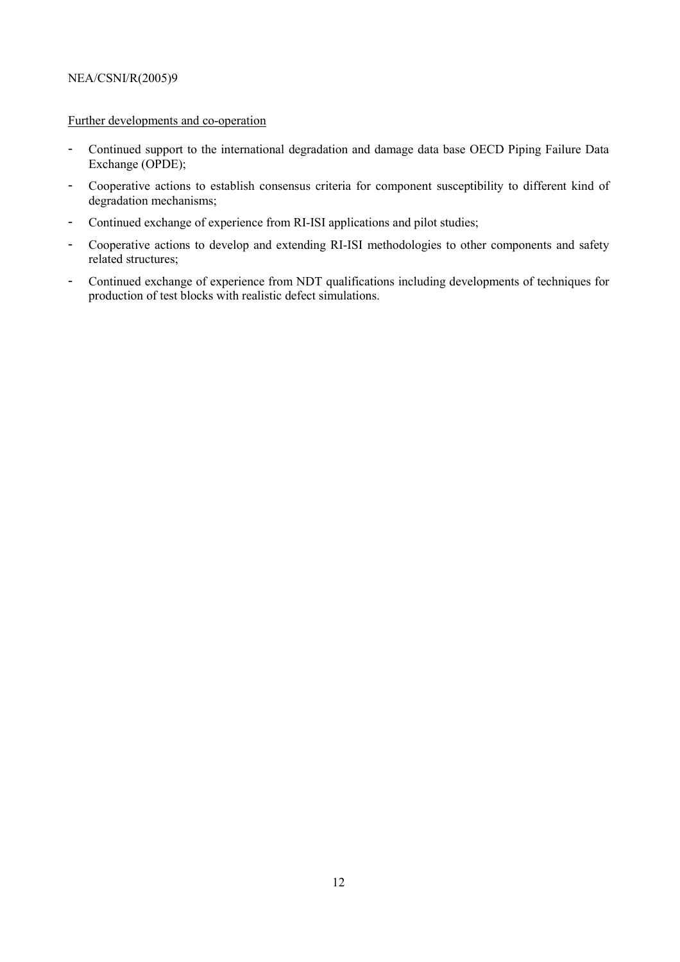### Further developments and co-operation

- Continued support to the international degradation and damage data base OECD Piping Failure Data Exchange (OPDE);
- Cooperative actions to establish consensus criteria for component susceptibility to different kind of degradation mechanisms;
- Continued exchange of experience from RI-ISI applications and pilot studies;
- Cooperative actions to develop and extending RI-ISI methodologies to other components and safety related structures;
- Continued exchange of experience from NDT qualifications including developments of techniques for production of test blocks with realistic defect simulations.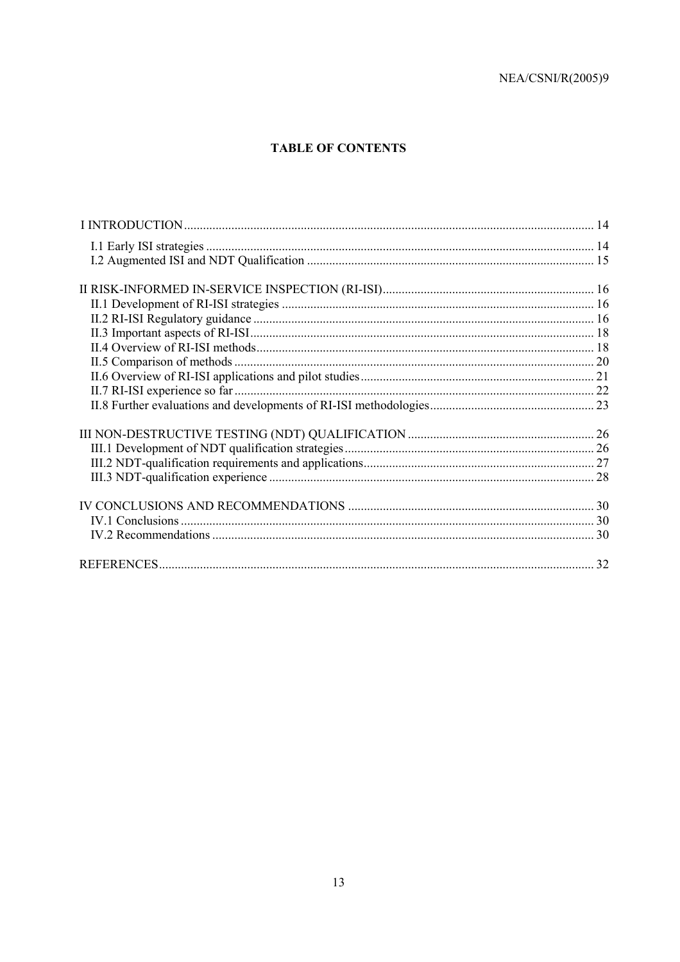# **TABLE OF CONTENTS**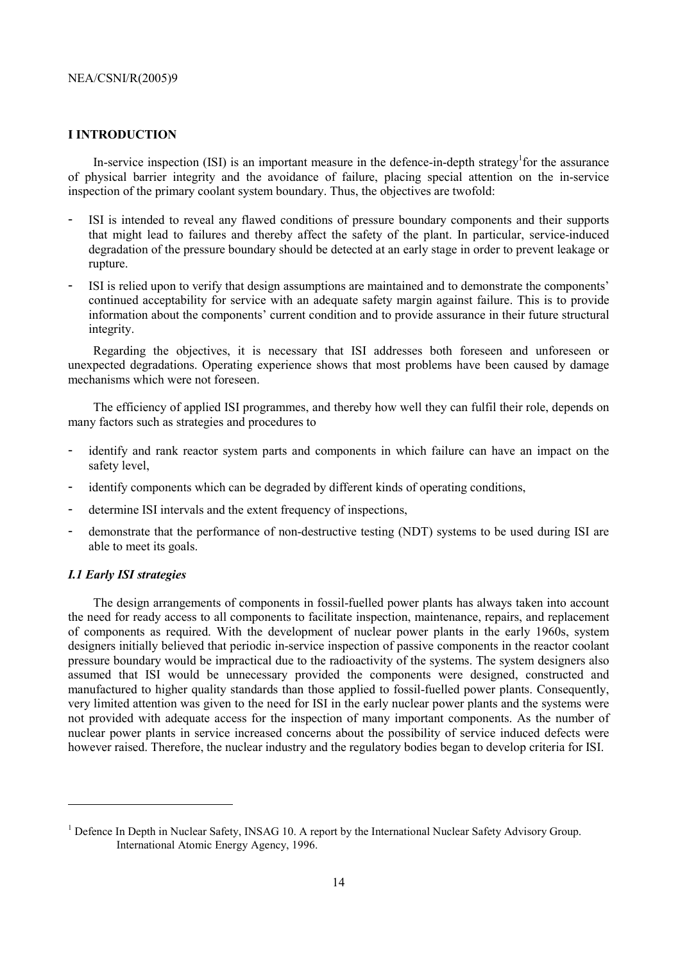### **I INTRODUCTION**

In-service inspection  $(ISI)$  is an important measure in the defence-in-depth strategy<sup>1</sup> for the assurance of physical barrier integrity and the avoidance of failure, placing special attention on the in-service inspection of the primary coolant system boundary. Thus, the objectives are twofold:

- ISI is intended to reveal any flawed conditions of pressure boundary components and their supports that might lead to failures and thereby affect the safety of the plant. In particular, service-induced degradation of the pressure boundary should be detected at an early stage in order to prevent leakage or rupture.
- ISI is relied upon to verify that design assumptions are maintained and to demonstrate the components' continued acceptability for service with an adequate safety margin against failure. This is to provide information about the components' current condition and to provide assurance in their future structural integrity.

Regarding the objectives, it is necessary that ISI addresses both foreseen and unforeseen or unexpected degradations. Operating experience shows that most problems have been caused by damage mechanisms which were not foreseen.

The efficiency of applied ISI programmes, and thereby how well they can fulfil their role, depends on many factors such as strategies and procedures to

- identify and rank reactor system parts and components in which failure can have an impact on the safety level,
- identify components which can be degraded by different kinds of operating conditions,
- determine ISI intervals and the extent frequency of inspections,
- demonstrate that the performance of non-destructive testing (NDT) systems to be used during ISI are able to meet its goals.

#### *I.1 Early ISI strategies*

 $\overline{a}$ 

The design arrangements of components in fossil-fuelled power plants has always taken into account the need for ready access to all components to facilitate inspection, maintenance, repairs, and replacement of components as required. With the development of nuclear power plants in the early 1960s, system designers initially believed that periodic in-service inspection of passive components in the reactor coolant pressure boundary would be impractical due to the radioactivity of the systems. The system designers also assumed that ISI would be unnecessary provided the components were designed, constructed and manufactured to higher quality standards than those applied to fossil-fuelled power plants. Consequently, very limited attention was given to the need for ISI in the early nuclear power plants and the systems were not provided with adequate access for the inspection of many important components. As the number of nuclear power plants in service increased concerns about the possibility of service induced defects were however raised. Therefore, the nuclear industry and the regulatory bodies began to develop criteria for ISI.

<sup>&</sup>lt;sup>1</sup> Defence In Depth in Nuclear Safety, INSAG 10. A report by the International Nuclear Safety Advisory Group. International Atomic Energy Agency, 1996.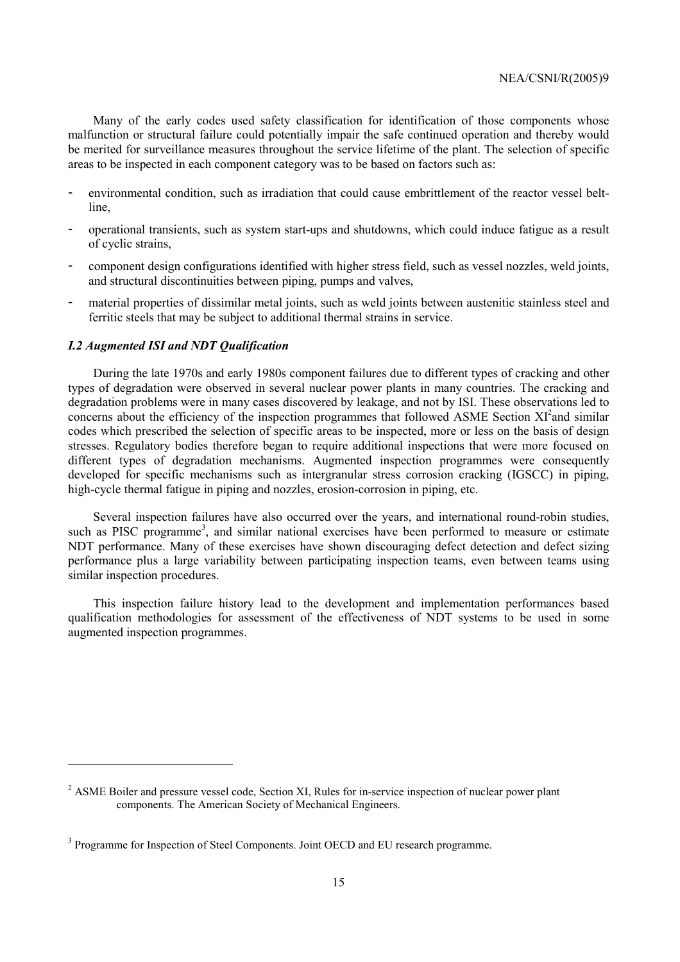Many of the early codes used safety classification for identification of those components whose malfunction or structural failure could potentially impair the safe continued operation and thereby would be merited for surveillance measures throughout the service lifetime of the plant. The selection of specific areas to be inspected in each component category was to be based on factors such as:

- environmental condition, such as irradiation that could cause embrittlement of the reactor vessel beltline,
- operational transients, such as system start-ups and shutdowns, which could induce fatigue as a result of cyclic strains,
- component design configurations identified with higher stress field, such as vessel nozzles, weld joints, and structural discontinuities between piping, pumps and valves,
- material properties of dissimilar metal joints, such as weld joints between austenitic stainless steel and ferritic steels that may be subject to additional thermal strains in service.

### *I.2 Augmented ISI and NDT Qualification*

 $\overline{a}$ 

During the late 1970s and early 1980s component failures due to different types of cracking and other types of degradation were observed in several nuclear power plants in many countries. The cracking and degradation problems were in many cases discovered by leakage, and not by ISI. These observations led to concerns about the efficiency of the inspection programmes that followed ASME Section XI<sup>2</sup> and similar codes which prescribed the selection of specific areas to be inspected, more or less on the basis of design stresses. Regulatory bodies therefore began to require additional inspections that were more focused on different types of degradation mechanisms. Augmented inspection programmes were consequently developed for specific mechanisms such as intergranular stress corrosion cracking (IGSCC) in piping, high-cycle thermal fatigue in piping and nozzles, erosion-corrosion in piping, etc.

Several inspection failures have also occurred over the years, and international round-robin studies, such as PISC programme<sup>3</sup>, and similar national exercises have been performed to measure or estimate NDT performance. Many of these exercises have shown discouraging defect detection and defect sizing performance plus a large variability between participating inspection teams, even between teams using similar inspection procedures.

This inspection failure history lead to the development and implementation performances based qualification methodologies for assessment of the effectiveness of NDT systems to be used in some augmented inspection programmes.

<sup>&</sup>lt;sup>2</sup> ASME Boiler and pressure vessel code, Section XI, Rules for in-service inspection of nuclear power plant components. The American Society of Mechanical Engineers.

<sup>&</sup>lt;sup>3</sup> Programme for Inspection of Steel Components. Joint OECD and EU research programme.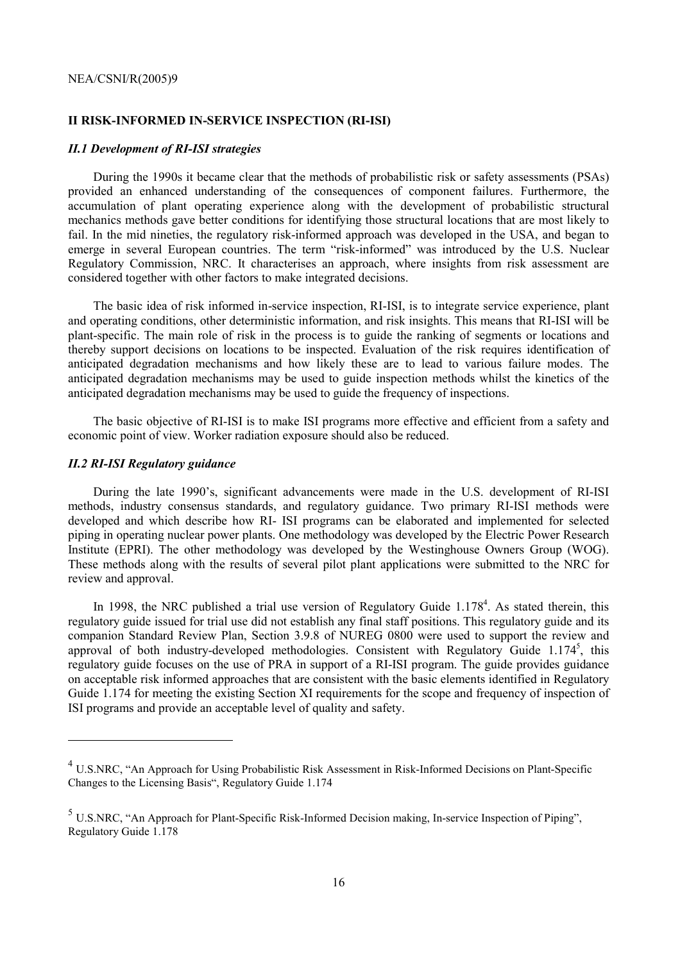### **II RISK-INFORMED IN-SERVICE INSPECTION (RI-ISI)**

### *II.1 Development of RI-ISI strategies*

During the 1990s it became clear that the methods of probabilistic risk or safety assessments (PSAs) provided an enhanced understanding of the consequences of component failures. Furthermore, the accumulation of plant operating experience along with the development of probabilistic structural mechanics methods gave better conditions for identifying those structural locations that are most likely to fail. In the mid nineties, the regulatory risk-informed approach was developed in the USA, and began to emerge in several European countries. The term "risk-informed" was introduced by the U.S. Nuclear Regulatory Commission, NRC. It characterises an approach, where insights from risk assessment are considered together with other factors to make integrated decisions.

The basic idea of risk informed in-service inspection, RI-ISI, is to integrate service experience, plant and operating conditions, other deterministic information, and risk insights. This means that RI-ISI will be plant-specific. The main role of risk in the process is to guide the ranking of segments or locations and thereby support decisions on locations to be inspected. Evaluation of the risk requires identification of anticipated degradation mechanisms and how likely these are to lead to various failure modes. The anticipated degradation mechanisms may be used to guide inspection methods whilst the kinetics of the anticipated degradation mechanisms may be used to guide the frequency of inspections.

The basic objective of RI-ISI is to make ISI programs more effective and efficient from a safety and economic point of view. Worker radiation exposure should also be reduced.

### *II.2 RI-ISI Regulatory guidance*

 $\overline{a}$ 

During the late 1990's, significant advancements were made in the U.S. development of RI-ISI methods, industry consensus standards, and regulatory guidance. Two primary RI-ISI methods were developed and which describe how RI- ISI programs can be elaborated and implemented for selected piping in operating nuclear power plants. One methodology was developed by the Electric Power Research Institute (EPRI). The other methodology was developed by the Westinghouse Owners Group (WOG). These methods along with the results of several pilot plant applications were submitted to the NRC for review and approval.

In 1998, the NRC published a trial use version of Regulatory Guide  $1.178<sup>4</sup>$ . As stated therein, this regulatory guide issued for trial use did not establish any final staff positions. This regulatory guide and its companion Standard Review Plan, Section 3.9.8 of NUREG 0800 were used to support the review and approval of both industry-developed methodologies. Consistent with Regulatory Guide  $1.174^5$ , this regulatory guide focuses on the use of PRA in support of a RI-ISI program. The guide provides guidance on acceptable risk informed approaches that are consistent with the basic elements identified in Regulatory Guide 1.174 for meeting the existing Section XI requirements for the scope and frequency of inspection of ISI programs and provide an acceptable level of quality and safety.

<sup>&</sup>lt;sup>4</sup> U.S.NRC, "An Approach for Using Probabilistic Risk Assessment in Risk-Informed Decisions on Plant-Specific Changes to the Licensing Basis", Regulatory Guide 1.174

<sup>5</sup> U.S.NRC, "An Approach for Plant-Specific Risk-Informed Decision making, In-service Inspection of Piping", Regulatory Guide 1.178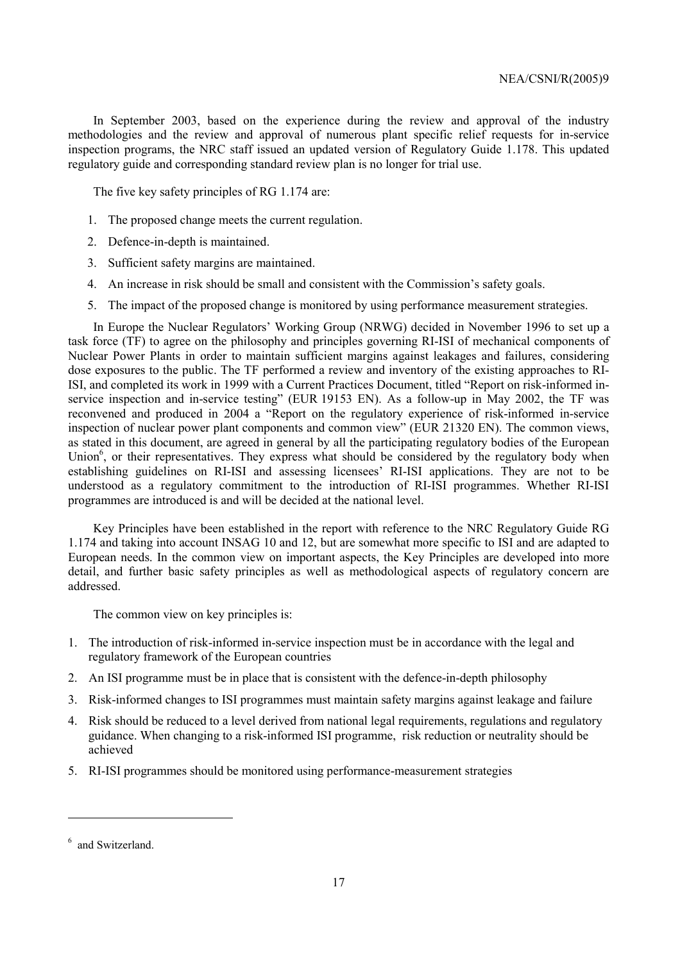In September 2003, based on the experience during the review and approval of the industry methodologies and the review and approval of numerous plant specific relief requests for in-service inspection programs, the NRC staff issued an updated version of Regulatory Guide 1.178. This updated regulatory guide and corresponding standard review plan is no longer for trial use.

The five key safety principles of RG 1.174 are:

- 1. The proposed change meets the current regulation.
- 2. Defence-in-depth is maintained.
- 3. Sufficient safety margins are maintained.
- 4. An increase in risk should be small and consistent with the Commission's safety goals.
- 5. The impact of the proposed change is monitored by using performance measurement strategies.

In Europe the Nuclear Regulators' Working Group (NRWG) decided in November 1996 to set up a task force (TF) to agree on the philosophy and principles governing RI-ISI of mechanical components of Nuclear Power Plants in order to maintain sufficient margins against leakages and failures, considering dose exposures to the public. The TF performed a review and inventory of the existing approaches to RI-ISI, and completed its work in 1999 with a Current Practices Document, titled "Report on risk-informed inservice inspection and in-service testing" (EUR 19153 EN). As a follow-up in May 2002, the TF was reconvened and produced in 2004 a "Report on the regulatory experience of risk-informed in-service inspection of nuclear power plant components and common view" (EUR 21320 EN). The common views, as stated in this document, are agreed in general by all the participating regulatory bodies of the European Union<sup>6</sup>, or their representatives. They express what should be considered by the regulatory body when establishing guidelines on RI-ISI and assessing licensees' RI-ISI applications. They are not to be understood as a regulatory commitment to the introduction of RI-ISI programmes. Whether RI-ISI programmes are introduced is and will be decided at the national level.

Key Principles have been established in the report with reference to the NRC Regulatory Guide RG 1.174 and taking into account INSAG 10 and 12, but are somewhat more specific to ISI and are adapted to European needs. In the common view on important aspects, the Key Principles are developed into more detail, and further basic safety principles as well as methodological aspects of regulatory concern are addressed.

The common view on key principles is:

- 1. The introduction of risk-informed in-service inspection must be in accordance with the legal and regulatory framework of the European countries
- 2. An ISI programme must be in place that is consistent with the defence-in-depth philosophy
- 3. Risk-informed changes to ISI programmes must maintain safety margins against leakage and failure
- 4. Risk should be reduced to a level derived from national legal requirements, regulations and regulatory guidance. When changing to a risk-informed ISI programme, risk reduction or neutrality should be achieved
- 5. RI-ISI programmes should be monitored using performance-measurement strategies

 $\overline{a}$ 

<sup>6</sup> and Switzerland.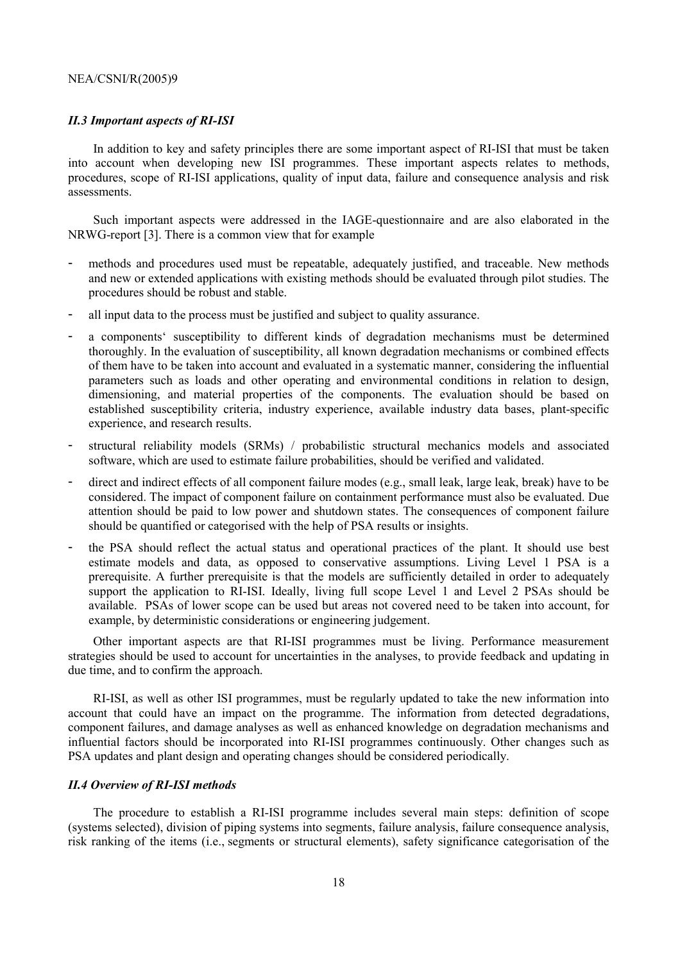#### *II.3 Important aspects of RI-ISI*

In addition to key and safety principles there are some important aspect of RI-ISI that must be taken into account when developing new ISI programmes. These important aspects relates to methods, procedures, scope of RI-ISI applications, quality of input data, failure and consequence analysis and risk assessments.

Such important aspects were addressed in the IAGE-questionnaire and are also elaborated in the NRWG-report [3]. There is a common view that for example

- methods and procedures used must be repeatable, adequately justified, and traceable. New methods and new or extended applications with existing methods should be evaluated through pilot studies. The procedures should be robust and stable.
- all input data to the process must be justified and subject to quality assurance.
- a components' susceptibility to different kinds of degradation mechanisms must be determined thoroughly. In the evaluation of susceptibility, all known degradation mechanisms or combined effects of them have to be taken into account and evaluated in a systematic manner, considering the influential parameters such as loads and other operating and environmental conditions in relation to design, dimensioning, and material properties of the components. The evaluation should be based on established susceptibility criteria, industry experience, available industry data bases, plant-specific experience, and research results.
- structural reliability models (SRMs) / probabilistic structural mechanics models and associated software, which are used to estimate failure probabilities, should be verified and validated.
- direct and indirect effects of all component failure modes (e.g., small leak, large leak, break) have to be considered. The impact of component failure on containment performance must also be evaluated. Due attention should be paid to low power and shutdown states. The consequences of component failure should be quantified or categorised with the help of PSA results or insights.
- the PSA should reflect the actual status and operational practices of the plant. It should use best estimate models and data, as opposed to conservative assumptions. Living Level 1 PSA is a prerequisite. A further prerequisite is that the models are sufficiently detailed in order to adequately support the application to RI-ISI. Ideally, living full scope Level 1 and Level 2 PSAs should be available. PSAs of lower scope can be used but areas not covered need to be taken into account, for example, by deterministic considerations or engineering judgement.

Other important aspects are that RI-ISI programmes must be living. Performance measurement strategies should be used to account for uncertainties in the analyses, to provide feedback and updating in due time, and to confirm the approach.

RI-ISI, as well as other ISI programmes, must be regularly updated to take the new information into account that could have an impact on the programme. The information from detected degradations, component failures, and damage analyses as well as enhanced knowledge on degradation mechanisms and influential factors should be incorporated into RI-ISI programmes continuously. Other changes such as PSA updates and plant design and operating changes should be considered periodically.

### *II.4 Overview of RI-ISI methods*

The procedure to establish a RI-ISI programme includes several main steps: definition of scope (systems selected), division of piping systems into segments, failure analysis, failure consequence analysis, risk ranking of the items (i.e., segments or structural elements), safety significance categorisation of the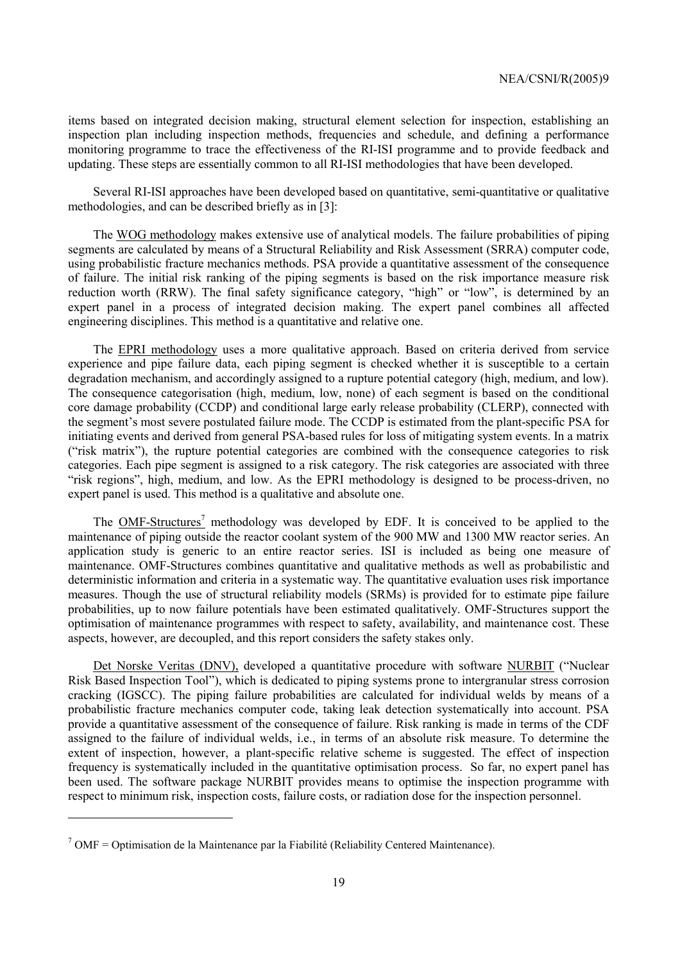items based on integrated decision making, structural element selection for inspection, establishing an inspection plan including inspection methods, frequencies and schedule, and defining a performance monitoring programme to trace the effectiveness of the RI-ISI programme and to provide feedback and updating. These steps are essentially common to all RI-ISI methodologies that have been developed.

Several RI-ISI approaches have been developed based on quantitative, semi-quantitative or qualitative methodologies, and can be described briefly as in [3]:

The WOG methodology makes extensive use of analytical models. The failure probabilities of piping segments are calculated by means of a Structural Reliability and Risk Assessment (SRRA) computer code, using probabilistic fracture mechanics methods. PSA provide a quantitative assessment of the consequence of failure. The initial risk ranking of the piping segments is based on the risk importance measure risk reduction worth (RRW). The final safety significance category, "high" or "low", is determined by an expert panel in a process of integrated decision making. The expert panel combines all affected engineering disciplines. This method is a quantitative and relative one.

The EPRI methodology uses a more qualitative approach. Based on criteria derived from service experience and pipe failure data, each piping segment is checked whether it is susceptible to a certain degradation mechanism, and accordingly assigned to a rupture potential category (high, medium, and low). The consequence categorisation (high, medium, low, none) of each segment is based on the conditional core damage probability (CCDP) and conditional large early release probability (CLERP), connected with the segment's most severe postulated failure mode. The CCDP is estimated from the plant-specific PSA for initiating events and derived from general PSA-based rules for loss of mitigating system events. In a matrix ("risk matrix"), the rupture potential categories are combined with the consequence categories to risk categories. Each pipe segment is assigned to a risk category. The risk categories are associated with three "risk regions", high, medium, and low. As the EPRI methodology is designed to be process-driven, no expert panel is used. This method is a qualitative and absolute one.

The  $\overline{OMF-S}$ tructures<sup>7</sup> methodology was developed by EDF. It is conceived to be applied to the maintenance of piping outside the reactor coolant system of the 900 MW and 1300 MW reactor series. An application study is generic to an entire reactor series. ISI is included as being one measure of maintenance. OMF-Structures combines quantitative and qualitative methods as well as probabilistic and deterministic information and criteria in a systematic way. The quantitative evaluation uses risk importance measures. Though the use of structural reliability models (SRMs) is provided for to estimate pipe failure probabilities, up to now failure potentials have been estimated qualitatively. OMF-Structures support the optimisation of maintenance programmes with respect to safety, availability, and maintenance cost. These aspects, however, are decoupled, and this report considers the safety stakes only.

Det Norske Veritas (DNV), developed a quantitative procedure with software NURBIT ("Nuclear Risk Based Inspection Tool"), which is dedicated to piping systems prone to intergranular stress corrosion cracking (IGSCC). The piping failure probabilities are calculated for individual welds by means of a probabilistic fracture mechanics computer code, taking leak detection systematically into account. PSA provide a quantitative assessment of the consequence of failure. Risk ranking is made in terms of the CDF assigned to the failure of individual welds, i.e., in terms of an absolute risk measure. To determine the extent of inspection, however, a plant-specific relative scheme is suggested. The effect of inspection frequency is systematically included in the quantitative optimisation process. So far, no expert panel has been used. The software package NURBIT provides means to optimise the inspection programme with respect to minimum risk, inspection costs, failure costs, or radiation dose for the inspection personnel.

 $\overline{a}$ 

 $7$  OMF = Optimisation de la Maintenance par la Fiabilité (Reliability Centered Maintenance).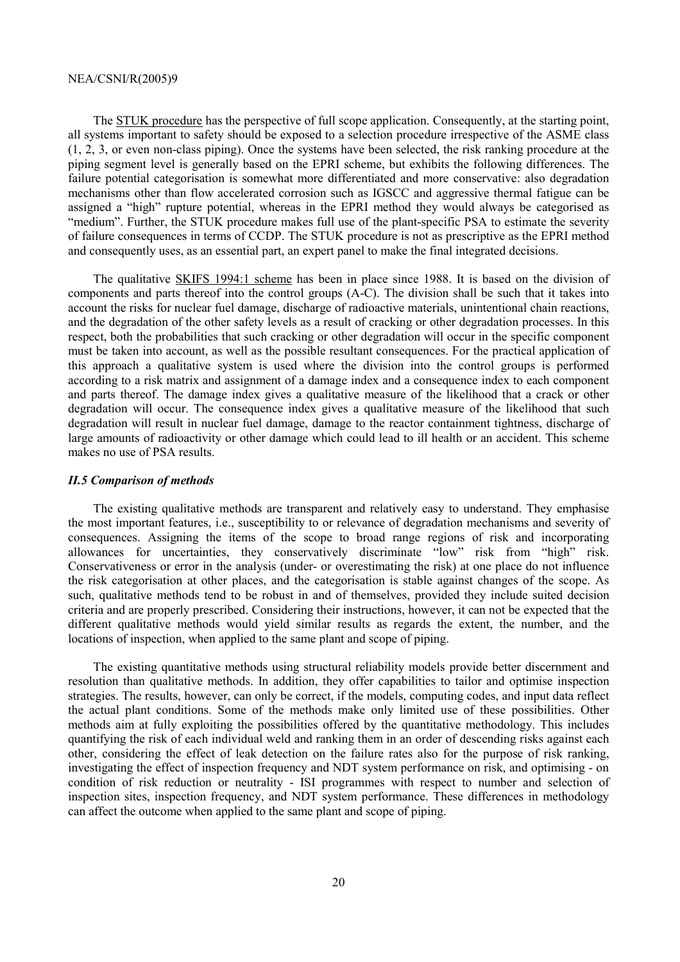The STUK procedure has the perspective of full scope application. Consequently, at the starting point, all systems important to safety should be exposed to a selection procedure irrespective of the ASME class (1, 2, 3, or even non-class piping). Once the systems have been selected, the risk ranking procedure at the piping segment level is generally based on the EPRI scheme, but exhibits the following differences. The failure potential categorisation is somewhat more differentiated and more conservative: also degradation mechanisms other than flow accelerated corrosion such as IGSCC and aggressive thermal fatigue can be assigned a "high" rupture potential, whereas in the EPRI method they would always be categorised as "medium". Further, the STUK procedure makes full use of the plant-specific PSA to estimate the severity of failure consequences in terms of CCDP. The STUK procedure is not as prescriptive as the EPRI method and consequently uses, as an essential part, an expert panel to make the final integrated decisions.

The qualitative SKIFS 1994:1 scheme has been in place since 1988. It is based on the division of components and parts thereof into the control groups (A-C). The division shall be such that it takes into account the risks for nuclear fuel damage, discharge of radioactive materials, unintentional chain reactions, and the degradation of the other safety levels as a result of cracking or other degradation processes. In this respect, both the probabilities that such cracking or other degradation will occur in the specific component must be taken into account, as well as the possible resultant consequences. For the practical application of this approach a qualitative system is used where the division into the control groups is performed according to a risk matrix and assignment of a damage index and a consequence index to each component and parts thereof. The damage index gives a qualitative measure of the likelihood that a crack or other degradation will occur. The consequence index gives a qualitative measure of the likelihood that such degradation will result in nuclear fuel damage, damage to the reactor containment tightness, discharge of large amounts of radioactivity or other damage which could lead to ill health or an accident. This scheme makes no use of PSA results.

#### *II.5 Comparison of methods*

The existing qualitative methods are transparent and relatively easy to understand. They emphasise the most important features, i.e., susceptibility to or relevance of degradation mechanisms and severity of consequences. Assigning the items of the scope to broad range regions of risk and incorporating allowances for uncertainties, they conservatively discriminate "low" risk from "high" risk. Conservativeness or error in the analysis (under- or overestimating the risk) at one place do not influence the risk categorisation at other places, and the categorisation is stable against changes of the scope. As such, qualitative methods tend to be robust in and of themselves, provided they include suited decision criteria and are properly prescribed. Considering their instructions, however, it can not be expected that the different qualitative methods would yield similar results as regards the extent, the number, and the locations of inspection, when applied to the same plant and scope of piping.

The existing quantitative methods using structural reliability models provide better discernment and resolution than qualitative methods. In addition, they offer capabilities to tailor and optimise inspection strategies. The results, however, can only be correct, if the models, computing codes, and input data reflect the actual plant conditions. Some of the methods make only limited use of these possibilities. Other methods aim at fully exploiting the possibilities offered by the quantitative methodology. This includes quantifying the risk of each individual weld and ranking them in an order of descending risks against each other, considering the effect of leak detection on the failure rates also for the purpose of risk ranking, investigating the effect of inspection frequency and NDT system performance on risk, and optimising - on condition of risk reduction or neutrality - ISI programmes with respect to number and selection of inspection sites, inspection frequency, and NDT system performance. These differences in methodology can affect the outcome when applied to the same plant and scope of piping.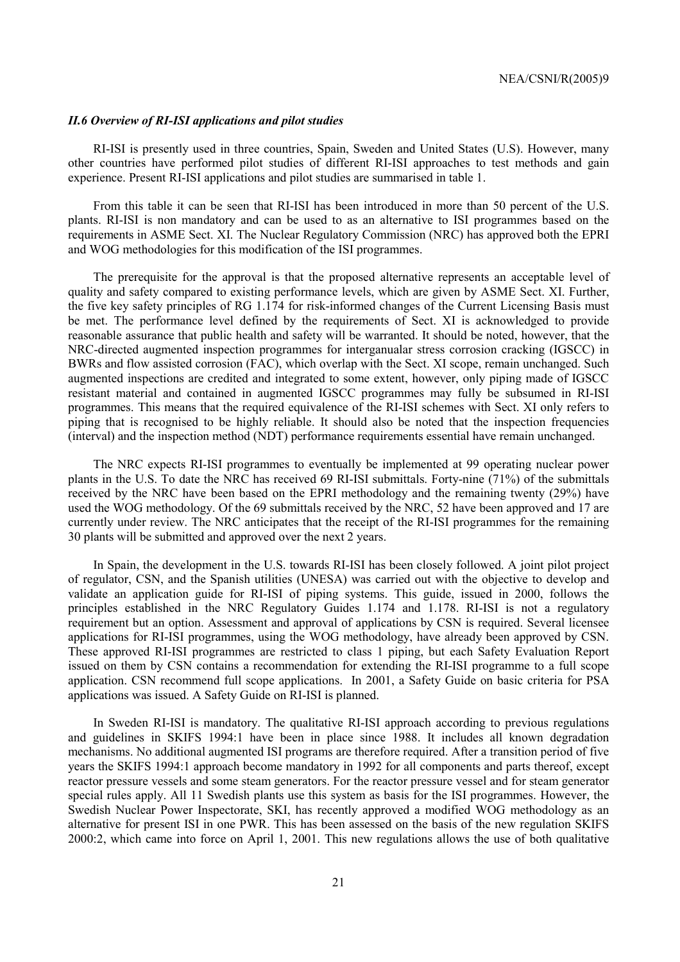#### *II.6 Overview of RI-ISI applications and pilot studies*

RI-ISI is presently used in three countries, Spain, Sweden and United States (U.S). However, many other countries have performed pilot studies of different RI-ISI approaches to test methods and gain experience. Present RI-ISI applications and pilot studies are summarised in table 1.

From this table it can be seen that RI-ISI has been introduced in more than 50 percent of the U.S. plants. RI-ISI is non mandatory and can be used to as an alternative to ISI programmes based on the requirements in ASME Sect. XI. The Nuclear Regulatory Commission (NRC) has approved both the EPRI and WOG methodologies for this modification of the ISI programmes.

The prerequisite for the approval is that the proposed alternative represents an acceptable level of quality and safety compared to existing performance levels, which are given by ASME Sect. XI. Further, the five key safety principles of RG 1.174 for risk-informed changes of the Current Licensing Basis must be met. The performance level defined by the requirements of Sect. XI is acknowledged to provide reasonable assurance that public health and safety will be warranted. It should be noted, however, that the NRC-directed augmented inspection programmes for interganualar stress corrosion cracking (IGSCC) in BWRs and flow assisted corrosion (FAC), which overlap with the Sect. XI scope, remain unchanged. Such augmented inspections are credited and integrated to some extent, however, only piping made of IGSCC resistant material and contained in augmented IGSCC programmes may fully be subsumed in RI-ISI programmes. This means that the required equivalence of the RI-ISI schemes with Sect. XI only refers to piping that is recognised to be highly reliable. It should also be noted that the inspection frequencies (interval) and the inspection method (NDT) performance requirements essential have remain unchanged.

The NRC expects RI-ISI programmes to eventually be implemented at 99 operating nuclear power plants in the U.S. To date the NRC has received 69 RI-ISI submittals. Forty-nine (71%) of the submittals received by the NRC have been based on the EPRI methodology and the remaining twenty (29%) have used the WOG methodology. Of the 69 submittals received by the NRC, 52 have been approved and 17 are currently under review. The NRC anticipates that the receipt of the RI-ISI programmes for the remaining 30 plants will be submitted and approved over the next 2 years.

In Spain, the development in the U.S. towards RI-ISI has been closely followed. A joint pilot project of regulator, CSN, and the Spanish utilities (UNESA) was carried out with the objective to develop and validate an application guide for RI-ISI of piping systems. This guide, issued in 2000, follows the principles established in the NRC Regulatory Guides 1.174 and 1.178. RI-ISI is not a regulatory requirement but an option. Assessment and approval of applications by CSN is required. Several licensee applications for RI-ISI programmes, using the WOG methodology, have already been approved by CSN. These approved RI-ISI programmes are restricted to class 1 piping, but each Safety Evaluation Report issued on them by CSN contains a recommendation for extending the RI-ISI programme to a full scope application. CSN recommend full scope applications. In 2001, a Safety Guide on basic criteria for PSA applications was issued. A Safety Guide on RI-ISI is planned.

In Sweden RI-ISI is mandatory. The qualitative RI-ISI approach according to previous regulations and guidelines in SKIFS 1994:1 have been in place since 1988. It includes all known degradation mechanisms. No additional augmented ISI programs are therefore required. After a transition period of five years the SKIFS 1994:1 approach become mandatory in 1992 for all components and parts thereof, except reactor pressure vessels and some steam generators. For the reactor pressure vessel and for steam generator special rules apply. All 11 Swedish plants use this system as basis for the ISI programmes. However, the Swedish Nuclear Power Inspectorate, SKI, has recently approved a modified WOG methodology as an alternative for present ISI in one PWR. This has been assessed on the basis of the new regulation SKIFS 2000:2, which came into force on April 1, 2001. This new regulations allows the use of both qualitative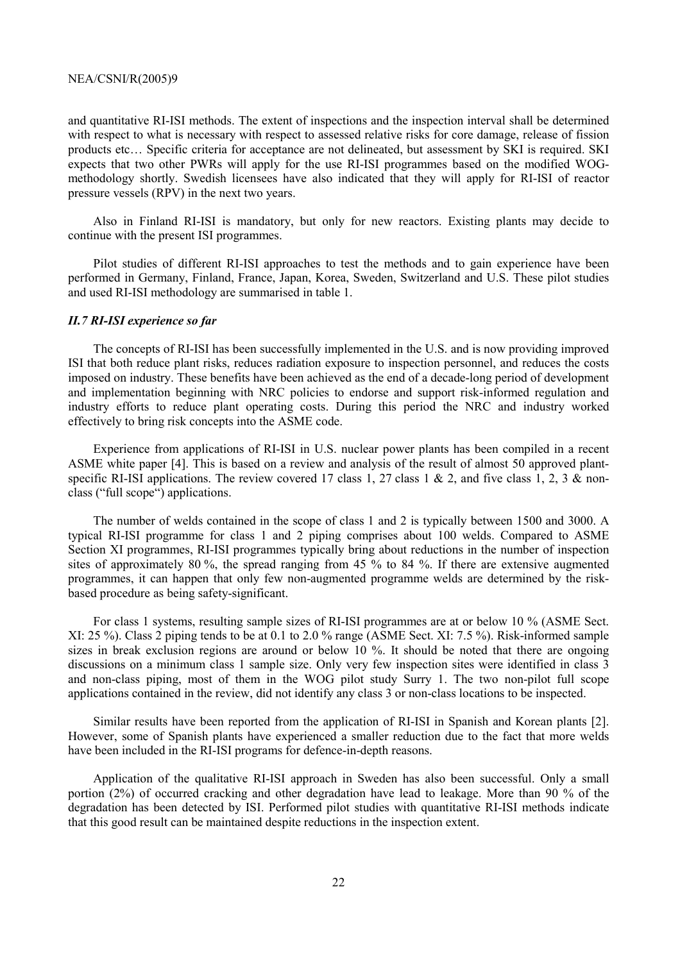and quantitative RI-ISI methods. The extent of inspections and the inspection interval shall be determined with respect to what is necessary with respect to assessed relative risks for core damage, release of fission products etc… Specific criteria for acceptance are not delineated, but assessment by SKI is required. SKI expects that two other PWRs will apply for the use RI-ISI programmes based on the modified WOGmethodology shortly. Swedish licensees have also indicated that they will apply for RI-ISI of reactor pressure vessels (RPV) in the next two years.

Also in Finland RI-ISI is mandatory, but only for new reactors. Existing plants may decide to continue with the present ISI programmes.

Pilot studies of different RI-ISI approaches to test the methods and to gain experience have been performed in Germany, Finland, France, Japan, Korea, Sweden, Switzerland and U.S. These pilot studies and used RI-ISI methodology are summarised in table 1.

#### *II.7 RI-ISI experience so far*

The concepts of RI-ISI has been successfully implemented in the U.S. and is now providing improved ISI that both reduce plant risks, reduces radiation exposure to inspection personnel, and reduces the costs imposed on industry. These benefits have been achieved as the end of a decade-long period of development and implementation beginning with NRC policies to endorse and support risk-informed regulation and industry efforts to reduce plant operating costs. During this period the NRC and industry worked effectively to bring risk concepts into the ASME code.

Experience from applications of RI-ISI in U.S. nuclear power plants has been compiled in a recent ASME white paper [4]. This is based on a review and analysis of the result of almost 50 approved plantspecific RI-ISI applications. The review covered 17 class 1, 27 class 1 & 2, and five class 1, 2, 3  $\&$  nonclass ("full scope") applications.

The number of welds contained in the scope of class 1 and 2 is typically between 1500 and 3000. A typical RI-ISI programme for class 1 and 2 piping comprises about 100 welds. Compared to ASME Section XI programmes, RI-ISI programmes typically bring about reductions in the number of inspection sites of approximately 80 %, the spread ranging from 45 % to 84 %. If there are extensive augmented programmes, it can happen that only few non-augmented programme welds are determined by the riskbased procedure as being safety-significant.

For class 1 systems, resulting sample sizes of RI-ISI programmes are at or below 10 % (ASME Sect. XI: 25 %). Class 2 piping tends to be at 0.1 to 2.0 % range (ASME Sect. XI: 7.5 %). Risk-informed sample sizes in break exclusion regions are around or below 10 %. It should be noted that there are ongoing discussions on a minimum class 1 sample size. Only very few inspection sites were identified in class 3 and non-class piping, most of them in the WOG pilot study Surry 1. The two non-pilot full scope applications contained in the review, did not identify any class 3 or non-class locations to be inspected.

Similar results have been reported from the application of RI-ISI in Spanish and Korean plants [2]. However, some of Spanish plants have experienced a smaller reduction due to the fact that more welds have been included in the RI-ISI programs for defence-in-depth reasons.

Application of the qualitative RI-ISI approach in Sweden has also been successful. Only a small portion (2%) of occurred cracking and other degradation have lead to leakage. More than 90 % of the degradation has been detected by ISI. Performed pilot studies with quantitative RI-ISI methods indicate that this good result can be maintained despite reductions in the inspection extent.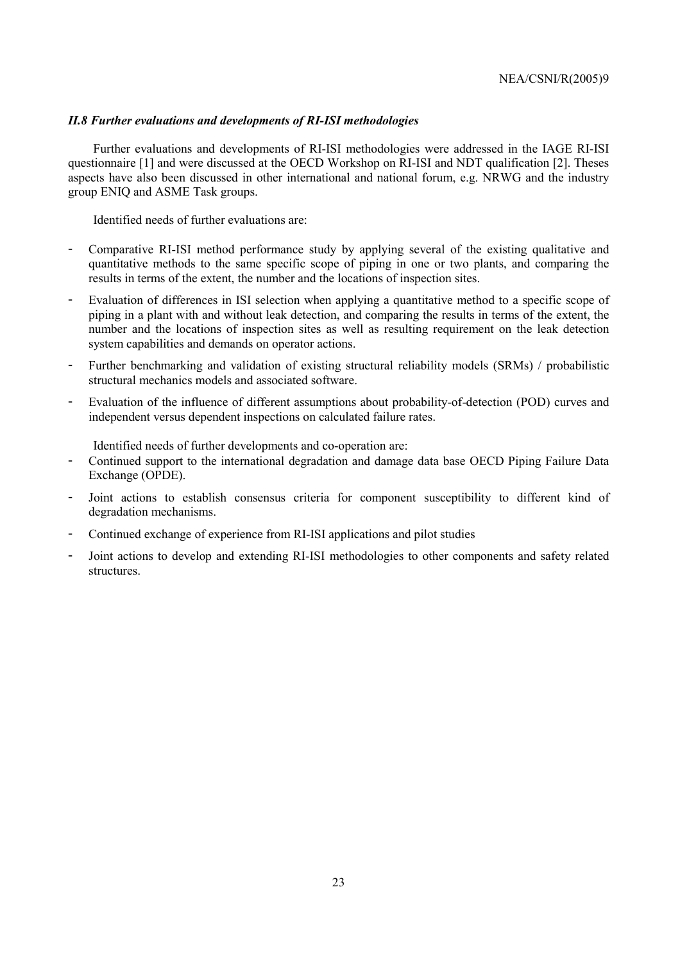### *II.8 Further evaluations and developments of RI-ISI methodologies*

Further evaluations and developments of RI-ISI methodologies were addressed in the IAGE RI-ISI questionnaire [1] and were discussed at the OECD Workshop on RI-ISI and NDT qualification [2]. Theses aspects have also been discussed in other international and national forum, e.g. NRWG and the industry group ENIQ and ASME Task groups.

Identified needs of further evaluations are:

- Comparative RI-ISI method performance study by applying several of the existing qualitative and quantitative methods to the same specific scope of piping in one or two plants, and comparing the results in terms of the extent, the number and the locations of inspection sites.
- Evaluation of differences in ISI selection when applying a quantitative method to a specific scope of piping in a plant with and without leak detection, and comparing the results in terms of the extent, the number and the locations of inspection sites as well as resulting requirement on the leak detection system capabilities and demands on operator actions.
- Further benchmarking and validation of existing structural reliability models (SRMs) / probabilistic structural mechanics models and associated software.
- Evaluation of the influence of different assumptions about probability-of-detection (POD) curves and independent versus dependent inspections on calculated failure rates.

Identified needs of further developments and co-operation are:

- Continued support to the international degradation and damage data base OECD Piping Failure Data Exchange (OPDE).
- Joint actions to establish consensus criteria for component susceptibility to different kind of degradation mechanisms.
- Continued exchange of experience from RI-ISI applications and pilot studies
- Joint actions to develop and extending RI-ISI methodologies to other components and safety related structures.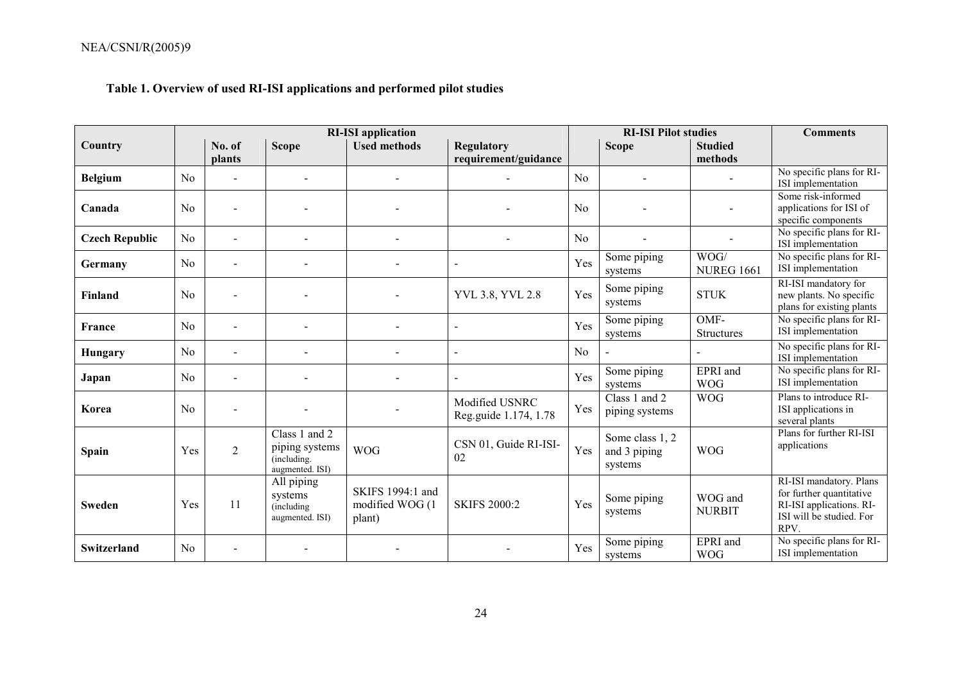# **Table 1. Overview of used RI-ISI applications and performed pilot studies**

|                       | <b>RI-ISI</b> application |                |                                                                   |                                               | <b>RI-ISI Pilot studies</b>             |                |                                            | <b>Comments</b>           |                                                                                                                           |
|-----------------------|---------------------------|----------------|-------------------------------------------------------------------|-----------------------------------------------|-----------------------------------------|----------------|--------------------------------------------|---------------------------|---------------------------------------------------------------------------------------------------------------------------|
| Country               |                           | No. of         | <b>Scope</b>                                                      | <b>Used methods</b>                           | Regulatory                              |                | <b>Scope</b>                               | <b>Studied</b>            |                                                                                                                           |
|                       |                           | plants         |                                                                   |                                               | requirement/guidance                    |                |                                            | methods                   |                                                                                                                           |
| <b>Belgium</b>        | N <sub>0</sub>            |                |                                                                   |                                               |                                         | N <sub>0</sub> |                                            |                           | No specific plans for RI-<br>ISI implementation                                                                           |
| Canada                | N <sub>0</sub>            |                |                                                                   |                                               |                                         | No             |                                            |                           | Some risk-informed<br>applications for ISI of<br>specific components                                                      |
| <b>Czech Republic</b> | N <sub>0</sub>            |                |                                                                   |                                               |                                         | N <sub>0</sub> |                                            |                           | No specific plans for RI-<br>ISI implementation                                                                           |
| Germany               | No                        |                |                                                                   |                                               | $\overline{\phantom{a}}$                | Yes            | Some piping<br>systems                     | WOG/<br><b>NUREG 1661</b> | No specific plans for RI-<br>ISI implementation                                                                           |
| Finland               | N <sub>0</sub>            |                |                                                                   |                                               | <b>YVL 3.8, YVL 2.8</b>                 | Yes            | Some piping<br>systems                     | <b>STUK</b>               | RI-ISI mandatory for<br>new plants. No specific<br>plans for existing plants                                              |
| France                | N <sub>0</sub>            |                |                                                                   |                                               | $\sim$                                  | Yes            | Some piping<br>systems                     | OMF-<br><b>Structures</b> | No specific plans for RI-<br>ISI implementation                                                                           |
| Hungary               | N <sub>0</sub>            |                |                                                                   |                                               |                                         | N <sub>o</sub> |                                            |                           | No specific plans for RI-<br>ISI implementation                                                                           |
| Japan                 | N <sub>0</sub>            |                |                                                                   |                                               | $\sim$                                  | Yes            | Some piping<br>systems                     | EPRI and<br><b>WOG</b>    | No specific plans for RI-<br>ISI implementation                                                                           |
| Korea                 | N <sub>0</sub>            |                |                                                                   |                                               | Modified USNRC<br>Reg.guide 1.174, 1.78 | Yes            | Class 1 and 2<br>piping systems            | <b>WOG</b>                | Plans to introduce RI-<br>ISI applications in<br>several plants                                                           |
| Spain                 | Yes                       | $\overline{2}$ | Class 1 and 2<br>piping systems<br>(including.<br>augmented. ISI) | <b>WOG</b>                                    | CSN 01, Guide RI-ISI-<br>02             | Yes            | Some class 1, 2<br>and 3 piping<br>systems | <b>WOG</b>                | Plans for further RI-ISI<br>applications                                                                                  |
| <b>Sweden</b>         | Yes                       | 11             | All piping<br>systems<br>(including)<br>augmented. ISI)           | SKIFS 1994:1 and<br>modified WOG (1<br>plant) | <b>SKIFS 2000:2</b>                     | Yes            | Some piping<br>systems                     | WOG and<br><b>NURBIT</b>  | RI-ISI mandatory. Plans<br>for further quantitative<br>RI-ISI applications. RI-<br>ISI will be studied. For<br><b>RPV</b> |
| Switzerland           | N <sub>0</sub>            |                |                                                                   |                                               |                                         | Yes            | Some piping<br>systems                     | EPRI and<br><b>WOG</b>    | No specific plans for RI-<br>ISI implementation                                                                           |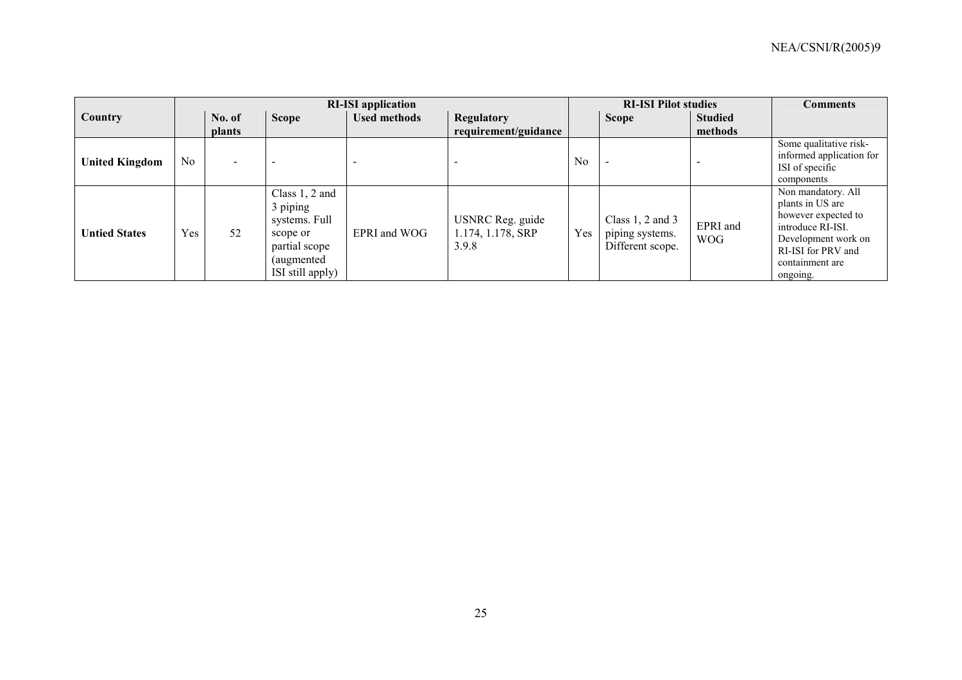|                       | <b>RI-ISI</b> application |               |                                                                                                               | <b>RI-ISI Pilot studies</b> |                                                       |     | <b>Comments</b>                                             |                        |                                                                                                                                                                |
|-----------------------|---------------------------|---------------|---------------------------------------------------------------------------------------------------------------|-----------------------------|-------------------------------------------------------|-----|-------------------------------------------------------------|------------------------|----------------------------------------------------------------------------------------------------------------------------------------------------------------|
| Country               |                           | No. of        | <b>Scope</b>                                                                                                  | <b>Used methods</b>         | Regulatory                                            |     | <b>Scope</b>                                                | <b>Studied</b>         |                                                                                                                                                                |
|                       |                           | <i>plants</i> |                                                                                                               |                             | requirement/guidance                                  |     |                                                             | methods                |                                                                                                                                                                |
| <b>United Kingdom</b> | N <sub>0</sub>            |               |                                                                                                               |                             |                                                       | No  |                                                             |                        | Some qualitative risk-<br>informed application for<br>ISI of specific<br>components                                                                            |
| <b>Untied States</b>  | Yes                       | 52            | Class $1, 2$ and<br>3 piping<br>systems. Full<br>scope or<br>partial scope<br>(augmented)<br>ISI still apply) | EPRI and WOG                | <b>USNRC</b> Reg. guide<br>1.174, 1.178, SRP<br>3.9.8 | Yes | Class $1, 2$ and $3$<br>piping systems.<br>Different scope. | EPRI and<br><b>WOG</b> | Non mandatory. All<br>plants in US are<br>however expected to<br>introduce RI-ISI.<br>Development work on<br>RI-ISI for PRV and<br>containment are<br>ongoing. |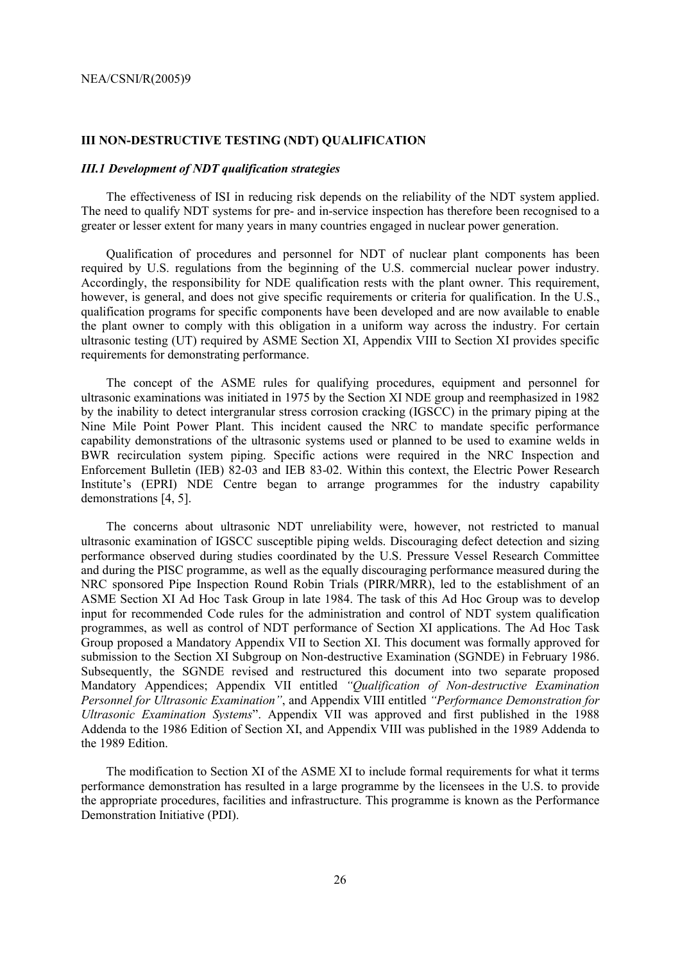### **III NON-DESTRUCTIVE TESTING (NDT) QUALIFICATION**

### *III.1 Development of NDT qualification strategies*

The effectiveness of ISI in reducing risk depends on the reliability of the NDT system applied. The need to qualify NDT systems for pre- and in-service inspection has therefore been recognised to a greater or lesser extent for many years in many countries engaged in nuclear power generation.

Qualification of procedures and personnel for NDT of nuclear plant components has been required by U.S. regulations from the beginning of the U.S. commercial nuclear power industry. Accordingly, the responsibility for NDE qualification rests with the plant owner. This requirement, however, is general, and does not give specific requirements or criteria for qualification. In the U.S., qualification programs for specific components have been developed and are now available to enable the plant owner to comply with this obligation in a uniform way across the industry. For certain ultrasonic testing (UT) required by ASME Section XI, Appendix VIII to Section XI provides specific requirements for demonstrating performance.

The concept of the ASME rules for qualifying procedures, equipment and personnel for ultrasonic examinations was initiated in 1975 by the Section XI NDE group and reemphasized in 1982 by the inability to detect intergranular stress corrosion cracking (IGSCC) in the primary piping at the Nine Mile Point Power Plant. This incident caused the NRC to mandate specific performance capability demonstrations of the ultrasonic systems used or planned to be used to examine welds in BWR recirculation system piping. Specific actions were required in the NRC Inspection and Enforcement Bulletin (IEB) 82-03 and IEB 83-02. Within this context, the Electric Power Research Institute's (EPRI) NDE Centre began to arrange programmes for the industry capability demonstrations [4, 5].

The concerns about ultrasonic NDT unreliability were, however, not restricted to manual ultrasonic examination of IGSCC susceptible piping welds. Discouraging defect detection and sizing performance observed during studies coordinated by the U.S. Pressure Vessel Research Committee and during the PISC programme, as well as the equally discouraging performance measured during the NRC sponsored Pipe Inspection Round Robin Trials (PIRR/MRR), led to the establishment of an ASME Section XI Ad Hoc Task Group in late 1984. The task of this Ad Hoc Group was to develop input for recommended Code rules for the administration and control of NDT system qualification programmes, as well as control of NDT performance of Section XI applications. The Ad Hoc Task Group proposed a Mandatory Appendix VII to Section XI. This document was formally approved for submission to the Section XI Subgroup on Non-destructive Examination (SGNDE) in February 1986. Subsequently, the SGNDE revised and restructured this document into two separate proposed Mandatory Appendices; Appendix VII entitled *"Qualification of Non-destructive Examination Personnel for Ultrasonic Examination"*, and Appendix VIII entitled *"Performance Demonstration for Ultrasonic Examination Systems*". Appendix VII was approved and first published in the 1988 Addenda to the 1986 Edition of Section XI, and Appendix VIII was published in the 1989 Addenda to the 1989 Edition.

The modification to Section XI of the ASME XI to include formal requirements for what it terms performance demonstration has resulted in a large programme by the licensees in the U.S. to provide the appropriate procedures, facilities and infrastructure. This programme is known as the Performance Demonstration Initiative (PDI).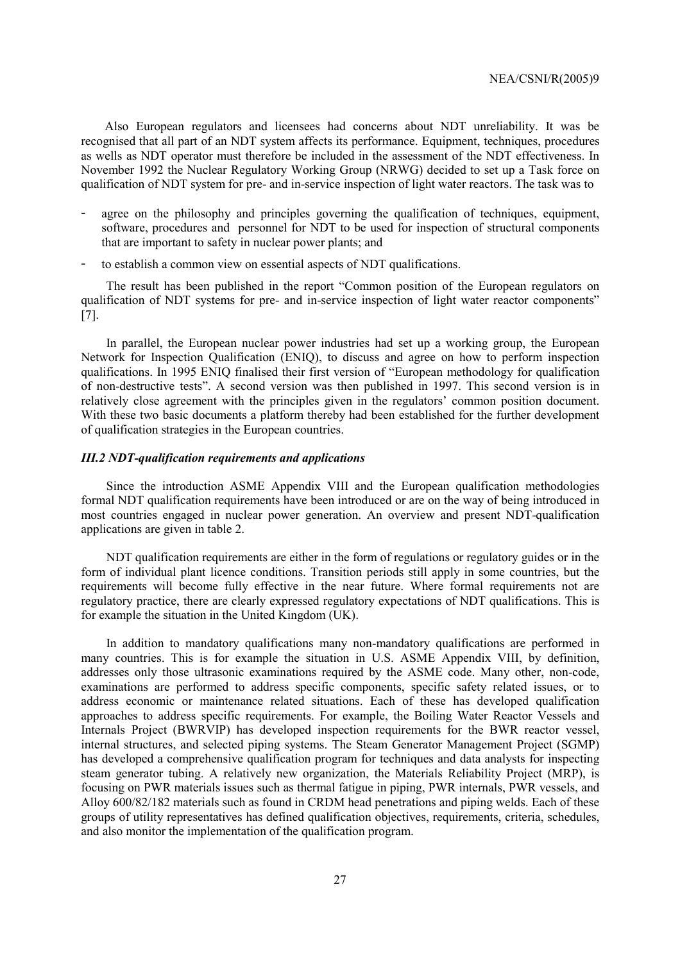Also European regulators and licensees had concerns about NDT unreliability. It was be recognised that all part of an NDT system affects its performance. Equipment, techniques, procedures as wells as NDT operator must therefore be included in the assessment of the NDT effectiveness. In November 1992 the Nuclear Regulatory Working Group (NRWG) decided to set up a Task force on qualification of NDT system for pre- and in-service inspection of light water reactors. The task was to

- agree on the philosophy and principles governing the qualification of techniques, equipment, software, procedures and personnel for NDT to be used for inspection of structural components that are important to safety in nuclear power plants; and
- to establish a common view on essential aspects of NDT qualifications.

The result has been published in the report "Common position of the European regulators on qualification of NDT systems for pre- and in-service inspection of light water reactor components" [7].

In parallel, the European nuclear power industries had set up a working group, the European Network for Inspection Qualification (ENIQ), to discuss and agree on how to perform inspection qualifications. In 1995 ENIQ finalised their first version of "European methodology for qualification of non-destructive tests". A second version was then published in 1997. This second version is in relatively close agreement with the principles given in the regulators' common position document. With these two basic documents a platform thereby had been established for the further development of qualification strategies in the European countries.

### *III.2 NDT-qualification requirements and applications*

Since the introduction ASME Appendix VIII and the European qualification methodologies formal NDT qualification requirements have been introduced or are on the way of being introduced in most countries engaged in nuclear power generation. An overview and present NDT-qualification applications are given in table 2.

NDT qualification requirements are either in the form of regulations or regulatory guides or in the form of individual plant licence conditions. Transition periods still apply in some countries, but the requirements will become fully effective in the near future. Where formal requirements not are regulatory practice, there are clearly expressed regulatory expectations of NDT qualifications. This is for example the situation in the United Kingdom (UK).

In addition to mandatory qualifications many non-mandatory qualifications are performed in many countries. This is for example the situation in U.S. ASME Appendix VIII, by definition, addresses only those ultrasonic examinations required by the ASME code. Many other, non-code, examinations are performed to address specific components, specific safety related issues, or to address economic or maintenance related situations. Each of these has developed qualification approaches to address specific requirements. For example, the Boiling Water Reactor Vessels and Internals Project (BWRVIP) has developed inspection requirements for the BWR reactor vessel, internal structures, and selected piping systems. The Steam Generator Management Project (SGMP) has developed a comprehensive qualification program for techniques and data analysts for inspecting steam generator tubing. A relatively new organization, the Materials Reliability Project (MRP), is focusing on PWR materials issues such as thermal fatigue in piping, PWR internals, PWR vessels, and Alloy 600/82/182 materials such as found in CRDM head penetrations and piping welds. Each of these groups of utility representatives has defined qualification objectives, requirements, criteria, schedules, and also monitor the implementation of the qualification program.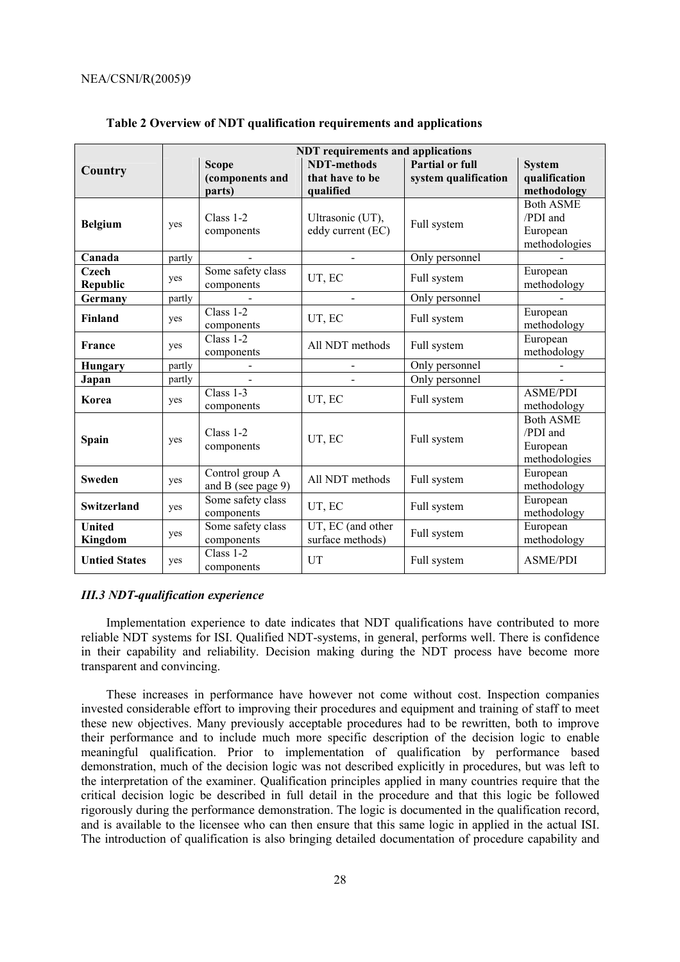|                      | <b>NDT</b> requirements and applications |                    |                                       |                        |                  |  |  |  |  |  |
|----------------------|------------------------------------------|--------------------|---------------------------------------|------------------------|------------------|--|--|--|--|--|
| Country              |                                          | <b>Scope</b>       | <b>NDT-methods</b>                    | <b>Partial or full</b> | <b>System</b>    |  |  |  |  |  |
|                      |                                          | (components and    | that have to be                       | system qualification   | qualification    |  |  |  |  |  |
|                      |                                          | parts)             | qualified                             |                        | methodology      |  |  |  |  |  |
|                      |                                          |                    |                                       |                        | <b>Both ASME</b> |  |  |  |  |  |
| <b>Belgium</b>       | yes                                      | Class 1-2          | Ultrasonic (UT),<br>eddy current (EC) | Full system            | /PDI and         |  |  |  |  |  |
|                      |                                          | components         |                                       |                        | European         |  |  |  |  |  |
|                      |                                          |                    |                                       |                        | methodologies    |  |  |  |  |  |
| Canada               | partly                                   |                    |                                       | Only personnel         |                  |  |  |  |  |  |
| <b>Czech</b>         | yes                                      | Some safety class  | UT, EC                                | Full system            | European         |  |  |  |  |  |
| Republic             |                                          | components         |                                       |                        | methodology      |  |  |  |  |  |
| Germany              | partly                                   |                    | $\blacksquare$                        | Only personnel         |                  |  |  |  |  |  |
| Finland              | yes                                      | Class 1-2          | UT, EC                                | Full system            | European         |  |  |  |  |  |
|                      |                                          | components         |                                       |                        | methodology      |  |  |  |  |  |
| <b>France</b>        | yes                                      | Class 1-2          | All NDT methods                       | Full system            | European         |  |  |  |  |  |
|                      |                                          | components         |                                       |                        | methodology      |  |  |  |  |  |
| Hungary              | partly                                   |                    |                                       | Only personnel         |                  |  |  |  |  |  |
| Japan                | partly                                   |                    |                                       | Only personnel         |                  |  |  |  |  |  |
| Korea                | yes                                      | Class 1-3          | UT, EC                                | Full system            | <b>ASME/PDI</b>  |  |  |  |  |  |
|                      |                                          | components         |                                       |                        | methodology      |  |  |  |  |  |
|                      |                                          |                    |                                       |                        | <b>Both ASME</b> |  |  |  |  |  |
| Spain                | yes                                      | Class 1-2          | UT, EC                                | Full system            | /PDI and         |  |  |  |  |  |
|                      |                                          | components         |                                       |                        | European         |  |  |  |  |  |
|                      |                                          |                    |                                       |                        | methodologies    |  |  |  |  |  |
| <b>Sweden</b>        | yes                                      | Control group A    | All NDT methods                       | Full system            | European         |  |  |  |  |  |
|                      |                                          | and B (see page 9) |                                       |                        | methodology      |  |  |  |  |  |
| <b>Switzerland</b>   | yes                                      | Some safety class  | UT, EC                                | Full system            | European         |  |  |  |  |  |
|                      |                                          | components         |                                       |                        | methodology      |  |  |  |  |  |
| <b>United</b>        |                                          | Some safety class  | UT, EC (and other                     | Full system            | European         |  |  |  |  |  |
| Kingdom              | yes                                      | components         | surface methods)                      |                        | methodology      |  |  |  |  |  |
| <b>Untied States</b> |                                          | Class 1-2          | UT                                    | Full system            | <b>ASME/PDI</b>  |  |  |  |  |  |
|                      | yes                                      | components         |                                       |                        |                  |  |  |  |  |  |

### **Table 2 Overview of NDT qualification requirements and applications**

### *III.3 NDT-qualification experience*

Implementation experience to date indicates that NDT qualifications have contributed to more reliable NDT systems for ISI. Qualified NDT-systems, in general, performs well. There is confidence in their capability and reliability. Decision making during the NDT process have become more transparent and convincing.

These increases in performance have however not come without cost. Inspection companies invested considerable effort to improving their procedures and equipment and training of staff to meet these new objectives. Many previously acceptable procedures had to be rewritten, both to improve their performance and to include much more specific description of the decision logic to enable meaningful qualification. Prior to implementation of qualification by performance based demonstration, much of the decision logic was not described explicitly in procedures, but was left to the interpretation of the examiner. Qualification principles applied in many countries require that the critical decision logic be described in full detail in the procedure and that this logic be followed rigorously during the performance demonstration. The logic is documented in the qualification record, and is available to the licensee who can then ensure that this same logic in applied in the actual ISI. The introduction of qualification is also bringing detailed documentation of procedure capability and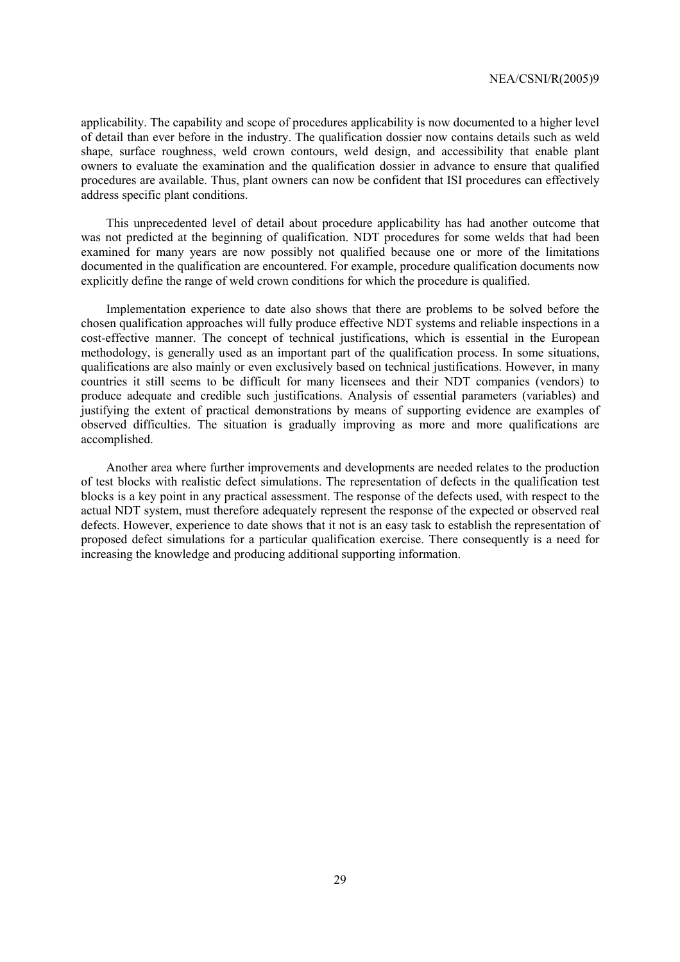applicability. The capability and scope of procedures applicability is now documented to a higher level of detail than ever before in the industry. The qualification dossier now contains details such as weld shape, surface roughness, weld crown contours, weld design, and accessibility that enable plant owners to evaluate the examination and the qualification dossier in advance to ensure that qualified procedures are available. Thus, plant owners can now be confident that ISI procedures can effectively address specific plant conditions.

This unprecedented level of detail about procedure applicability has had another outcome that was not predicted at the beginning of qualification. NDT procedures for some welds that had been examined for many years are now possibly not qualified because one or more of the limitations documented in the qualification are encountered. For example, procedure qualification documents now explicitly define the range of weld crown conditions for which the procedure is qualified.

Implementation experience to date also shows that there are problems to be solved before the chosen qualification approaches will fully produce effective NDT systems and reliable inspections in a cost-effective manner. The concept of technical justifications, which is essential in the European methodology, is generally used as an important part of the qualification process. In some situations, qualifications are also mainly or even exclusively based on technical justifications. However, in many countries it still seems to be difficult for many licensees and their NDT companies (vendors) to produce adequate and credible such justifications. Analysis of essential parameters (variables) and justifying the extent of practical demonstrations by means of supporting evidence are examples of observed difficulties. The situation is gradually improving as more and more qualifications are accomplished.

Another area where further improvements and developments are needed relates to the production of test blocks with realistic defect simulations. The representation of defects in the qualification test blocks is a key point in any practical assessment. The response of the defects used, with respect to the actual NDT system, must therefore adequately represent the response of the expected or observed real defects. However, experience to date shows that it not is an easy task to establish the representation of proposed defect simulations for a particular qualification exercise. There consequently is a need for increasing the knowledge and producing additional supporting information.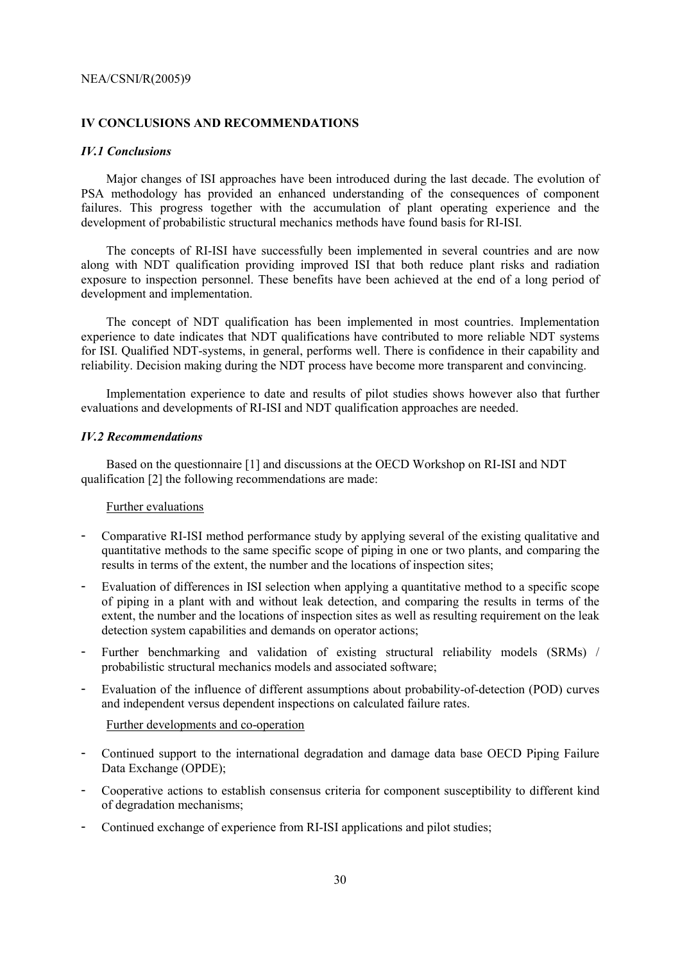### **IV CONCLUSIONS AND RECOMMENDATIONS**

### *IV.1 Conclusions*

Major changes of ISI approaches have been introduced during the last decade. The evolution of PSA methodology has provided an enhanced understanding of the consequences of component failures. This progress together with the accumulation of plant operating experience and the development of probabilistic structural mechanics methods have found basis for RI-ISI.

The concepts of RI-ISI have successfully been implemented in several countries and are now along with NDT qualification providing improved ISI that both reduce plant risks and radiation exposure to inspection personnel. These benefits have been achieved at the end of a long period of development and implementation.

The concept of NDT qualification has been implemented in most countries. Implementation experience to date indicates that NDT qualifications have contributed to more reliable NDT systems for ISI. Qualified NDT-systems, in general, performs well. There is confidence in their capability and reliability. Decision making during the NDT process have become more transparent and convincing.

Implementation experience to date and results of pilot studies shows however also that further evaluations and developments of RI-ISI and NDT qualification approaches are needed.

### *IV.2 Recommendations*

Based on the questionnaire [1] and discussions at the OECD Workshop on RI-ISI and NDT qualification [2] the following recommendations are made:

### Further evaluations

- Comparative RI-ISI method performance study by applying several of the existing qualitative and quantitative methods to the same specific scope of piping in one or two plants, and comparing the results in terms of the extent, the number and the locations of inspection sites;
- Evaluation of differences in ISI selection when applying a quantitative method to a specific scope of piping in a plant with and without leak detection, and comparing the results in terms of the extent, the number and the locations of inspection sites as well as resulting requirement on the leak detection system capabilities and demands on operator actions;
- Further benchmarking and validation of existing structural reliability models (SRMs) / probabilistic structural mechanics models and associated software;
- Evaluation of the influence of different assumptions about probability-of-detection (POD) curves and independent versus dependent inspections on calculated failure rates.

### Further developments and co-operation

- Continued support to the international degradation and damage data base OECD Piping Failure Data Exchange (OPDE);
- Cooperative actions to establish consensus criteria for component susceptibility to different kind of degradation mechanisms;
- Continued exchange of experience from RI-ISI applications and pilot studies;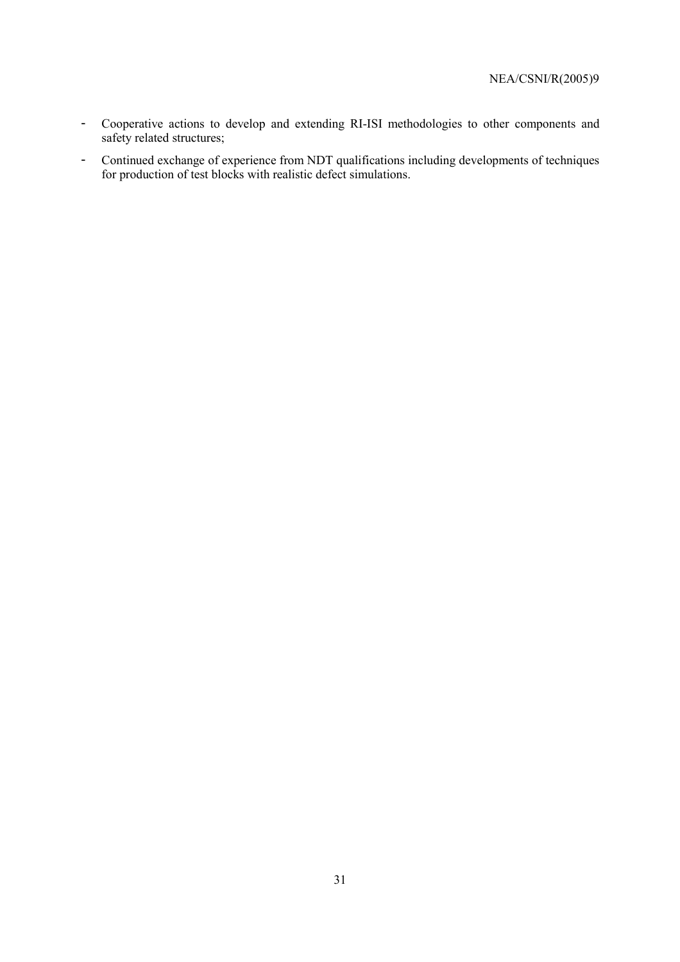- Cooperative actions to develop and extending RI-ISI methodologies to other components and safety related structures;
- Continued exchange of experience from NDT qualifications including developments of techniques for production of test blocks with realistic defect simulations.